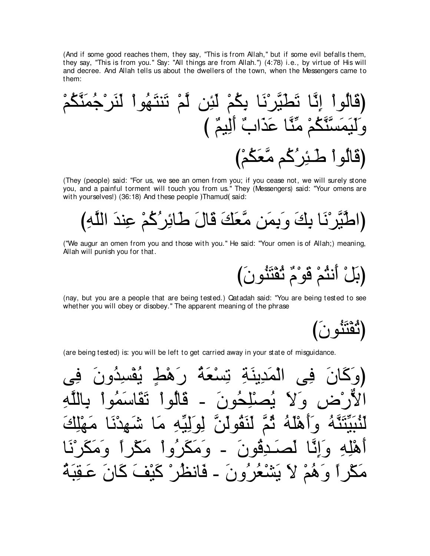(And if some good reaches them, they say, "This is from Allah," but if some evil befalls them, they say, "This is from you." Say: "All things are from Allah.") (4:78) i.e., by virtue of His will and decree. And Allah tells us about the dwellers of the town, when the Messengers came to them:

(They (people) said: "For us, we see an omen from you; if you cease not, we will surely stone you, and a painful torment will touch you from us." They (Messengers) said: "Your omens are with yourselves!) (36:18) And these people )Thamud(said:

("We augur an omen from you and those with you." He said: "Your omen is of Allah;) meaning, Allah will punish you for that.

(بَلْ أَنِثْمْ قَوْمٌ ثُقْنَنُونَ)

(nay, but you are a people that are being tested.) Qatadah said: "You are being tested to see whether you will obey or disobey." The apparent meaning of the phrase

(تَقَنْنُو نِ )

(are being tested) is: you will be left to get carried away in your state of misguidance.

حە <u>یُه</u>ُ ۱ã جُه ن له ا أنقم قون و ه  $\bullet$ مَكْرٍ أَ وَهُمْ لاَ يَشْعُرُونَ ـ فَانظُرْ كَيْفَ كَانَ عَقِّ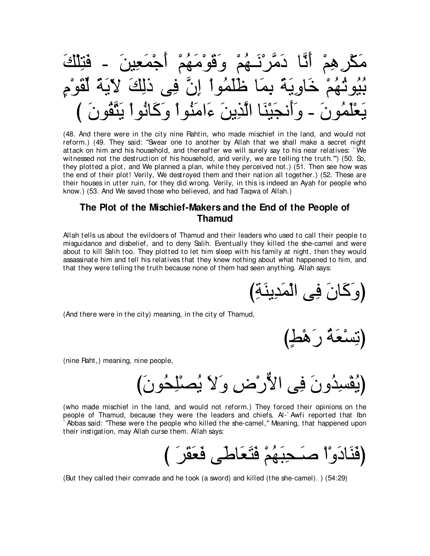مَكْر هِمْ أَنَّا دَمَّرْنَــهُمْ وَقَوْمَهُمْ أَجْمَعِينَ ـ فَنِلْكَ بُيُوثُهُمْ خَاوِيَهً بِمَا ظُلَّمُواْ إِنَّ فِي ذَلِكَ لآيَةً لَّقُوْمٍ ∠دن ع|مِنْه ا

(48. And there were in the city nine Rahtin, who made mischief in the land, and would not reform.) (49. They said: "Swear one to another by Allah that we shall make a secret night attack on him and his household, and thereafter we will surely say to his near relatives: ` We witnessed not the destruction of his household, and verily, we are telling the truth."") (50. So, they plotted a plot, and We planned a plan, while they perceived not.) (51. Then see how was the end of their plot! Verily, We destroyed them and their nation all together.) (52. These are their houses in utter ruin, for they did wrong. Verily, in this is indeed an Ayah for people who know.) (53. And We saved those who believed, and had Taqwa of Allah.)

#### **The Plot of the Mischief-Makers and the End of the People of Thamud**

Allah tells us about the evildoers of Thamud and their leaders who used to call their people to misguidance and disbelief, and to deny Salih. Eventually they killed the she-camel and were about to kill Salih too. They plotted to let him sleep with his family at night, then they would assassinate him and tell his relatives that they knew nothing about what happened to him, and that they were telling the truth because none of them had seen anything. Allah says:

(وَكَانَ فِي الْمَدِينَةِ)

(And there were in the city) meaning, in the city of Thamud,

ے⊳ ر ھ⊂

(nine Raht,) meaning, nine people,

ونَ فِي الأَرْض وَلاَ يُصْلِحُون

(who made mischief in the land, and would not reform.) They forced their opinions on the people of Thamud, because they were the leaders and chiefs. Al-` Awfi reported that Ibn ` Abbas said: "These were the people who killed the she-camel,'' Meaning, that happened upon their instigation, may Allah curse them. Allah says:

び ∠ゲ∠ボ∠バ∠プ ヴ∠デゅ∠バ∠わ∠プ ∇ユ⊥ヰ∠ら⌒エ⇒∠タ ∇や∇ヱ∠キゅ∠レ∠プぴ

(But they called their comrade and he took (a sword) and killed (the she-camel). ) (54:29)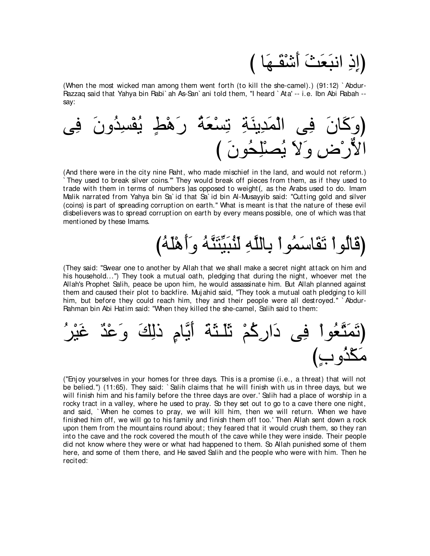び ゅ∠ヰ⇒∠ボ∇セ∠ぺ ∠ゑ∠バ∠らルや ⌒ク⌒まぴ

(When the most wicked man among them went forth (to kill the she-camel).) (91:12) ` Abdur-Razzaq said that Yahya bin Rabi` ah As-San` ani told them, "I heard ` Ata' -- i.e. Ibn Abi Rabah - say:



(And there were in the city nine Raht, who made mischief in the land, and would not reform.) ` They used to break silver coins.''' They would break off pieces from them, as if they used to trade with them in terms of numbers ) as opposed to weight(, as the Arabs used to do. Imam Malik narrated from Yahya bin Sa` id that Sa` id bin Al-Musayyib said: "Cutting gold and silver (coins) is part of spreading corruption on earth.'' What is meant is that the nature of these evil disbelievers was to spread corruption on earth by every means possible, one of which was that mentioned by these Imams.

### (قَالُو أَ تَقَاسَمُو أَ بِاللَّهِ لِنُبَيِّنَّهُ وَأَهْلُهُ)

(They said: "Swear one to another by Allah that we shall make a secret night attack on him and his household...") They took a mutual oath, pledging that during the night, whoever met the Allah's Prophet Salih, peace be upon him, he would assassinate him. But Allah planned against them and caused their plot to backfire. Muj ahid said, "They took a mutual oath pledging to kill him, but before they could reach him, they and their people were all destroyed." `Abdur-Rahman bin Abi Hatim said: "When they killed the she-camel, Salih said to them:



("Enj oy yourselves in your homes for three days. This is a promise (i.e., a threat) that will not be belied.'') (11:65). They said: ` Salih claims that he will finish with us in three days, but we will finish him and his family before the three days are over.' Salih had a place of worship in a rocky tract in a valley, where he used to pray. So they set out to go to a cave there one night, and said, ` When he comes to pray, we will kill him, then we will return. When we have finished him off, we will go to his family and finish them off too.' Then Allah sent down a rock upon them from the mountains round about; they feared that it would crush them, so they ran into the cave and the rock covered the mouth of the cave while they were inside. Their people did not know where they were or what had happened to them. So Allah punished some of them here, and some of them there, and He saved Salih and the people who were with him. Then he recited: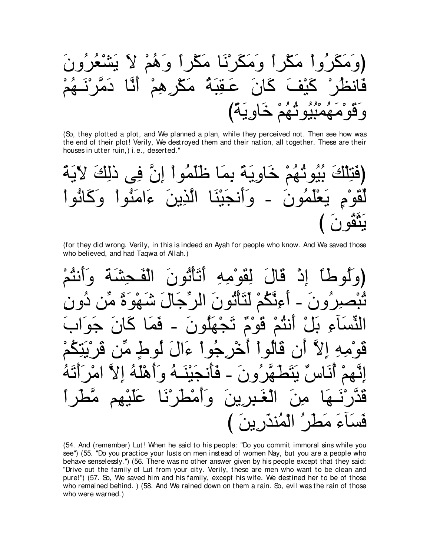ُواْ مَكْراً وَمَكَرْنَا مَكْراً وَهُمْ لاَ أَيَّا عَقِبةَ مكرهم و بِية)

(So, they plotted a plot, and We planned a plan, while they perceived not. Then see how was the end of their plot! Verily, We destroyed them and their nation, all together. These are their houses in utter ruin,) i.e., deserted."

خَاوِيَةً بِمَا ظُلَّمُواْ إِنَّ فِي ذَلِكَ ءامنه ا حدن ا  $\bullet$  $1<sub>a</sub>$ 

(for they did wrong. Verily, in this is indeed an Ayah for people who know. And We saved those who believed, and had Taqwa of Allah.)

لقوْ مه قال اد ٷێۛڴۮۛ اثو ن أنك ڱو <sup>مه</sup> اُنٹُ ° تَحْهَلُونَ <u>فم</u> À  $\mathbf c$ اهّل فَأَن  $\hat{\mathcal{A}}$ يين وأمْطُرْنَـ  $\mathbf C$ فس

(54. And (remember) Lut! When he said to his people: "Do you commit immoral sins while you see") (55. "Do you practice your lusts on men instead of women Nay, but you are a people who behave senselessly.") (56. There was no other answer given by his people except that they said: "Drive out the family of Lut from your city. Verily, these are men who want to be clean and pure!") (57. So, We saved him and his family, except his wife. We destined her to be of those who remained behind.) (58. And We rained down on them a rain. So, evil was the rain of those who were warned.)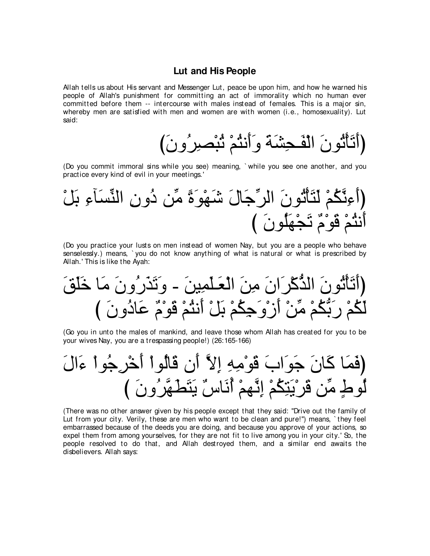#### Lut and His People

Allah tells us about His servant and Messenger Lut, peace be upon him, and how he warned his people of Allah's punishment for committing an act of immorality which no human ever committed before them -- intercourse with males instead of females. This is a major sin, whereby men are satisfied with men and women are with women (i.e., homosexuality). Lut said:

(Do you commit immoral sins while you see) meaning, `while you see one another, and you practice every kind of evil in your meetings.'

(Do you practice your lusts on men instead of women Nay, but you are a people who behave senselessly.) means, `you do not know anything of what is natural or what is prescribed by Allah.' This is like the Ayah:

(Go you in unto the males of mankind, and leave those whom Allah has created for you to be your wives Nay, you are a trespassing people!) (26:165-166)

(There was no other answer given by his people except that they said: "Drive out the family of Lut from your city. Verily, these are men who want to be clean and pure!") means, `they feel embarrassed because of the deeds you are doing, and because you approve of your actions, so expel them from among yourselves, for they are not fit to live among you in your city.' So, the people resolved to do that, and Allah destroyed them, and a similar end awaits the disbelievers. Allah says: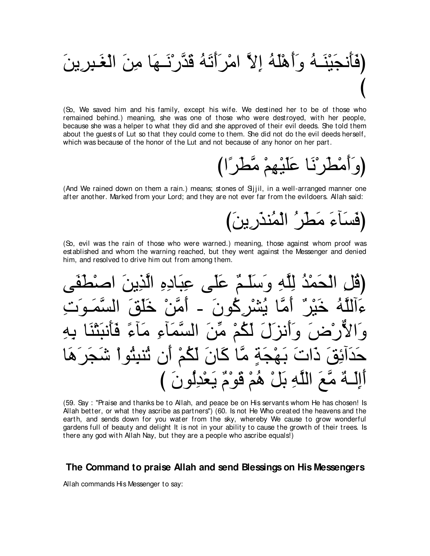

(So, We saved him and his family, except his wife. We destined her to be of those who remained behind.) meaning, she was one of those who were destroyed, with her people, because she was a helper to what they did and she approved of their evil deeds. She told them about the guests of Lut so that they could come to them. She did not do the evil deeds herself, which was because of the honor of the Lut and not because of any honor on her part.

(وَأَمْطَرْنَا عَلَيْهِمْ مَّطْرَ ۚا)

(And We rained down on them a rain.) means; stones of Sijil, in a well-arranged manner one after another. Marked from your Lord; and they are not ever far from the evildoers. Allah said:

(فَسَأَءَ مَطْرٍ ۗ الْمُنذَرِينَ)

(So, evil was the rain of those who were warned.) meaning, those against whom proof was established and whom the warning reached, but they went against the Messenger and denied him, and resolved to drive him out from among them.

(قُلْ الْحَمْدُ لِلَّهِ وَسَلَّمٌ عَلَى عِبَادِهِ الَّذِينَ سُنْر گُو نَ ــ ءَآلَلَهُ خَدْ ٌ أهن خلق ْصْنَ وَأَنْزَلَ لَكُمْ مِّنَ الْسَّمَآءِ مَآءً فَـٰٓ حَدَآئِوۡٓ َ ذَاتَ بَـهْجَةٖ مَّا كَانَ لَكُمْ أَن تُنبِثُواْ شَجَر أَإِلَـٰهٌ مَّعَ اللَّهِ بَلْ هُمْ قَوْمٌ يَعْدِلُونَ ﴾

(59. Say: "Praise and thanks be to Allah, and peace be on His servants whom He has chosen! Is Allah better, or what they ascribe as partners") (60. Is not He Who created the heavens and the earth, and sends down for you water from the sky, whereby We cause to grow wonderful gardens full of beauty and delight It is not in your ability to cause the growth of their trees. Is there any god with Allah Nay, but they are a people who ascribe equals!)

#### The Command to praise Allah and send Blessings on His Messengers

Allah commands His Messenger to say: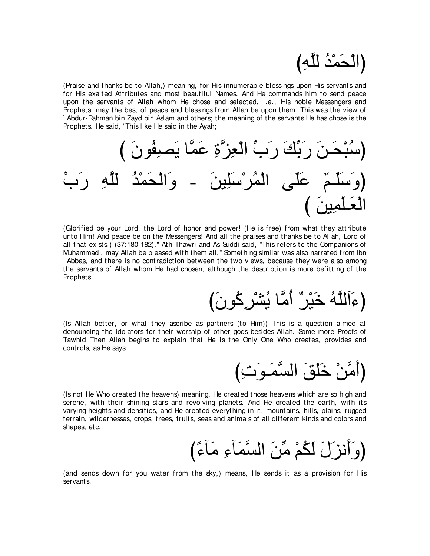## (الْحَمْدُ لِلَّهِ*)*

(Praise and thanks be to Allah,) meaning, for His innumerable blessings upon His servants and for His exalted Attributes and most beautiful Names. And He commands him to send peace upon the servants of Allah whom He chose and selected, i.e., His noble Messengers and Prophets, may the best of peace and blessings from Allah be upon them. This was the view of ` Abdur-Rahman bin Zayd bin Aslam and others; the meaning of the servants He has chose is the Prophets. He said, "This like He said in the Ayah;



(Glorified be your Lord, the Lord of honor and power! (He is free) from what they attribute unto Him! And peace be on the Messengers! And all the praises and thanks be to Allah, Lord of all that exists.) (37:180-182).'' Ath-Thawri and As-Suddi said, "This refers to the Companions of Muhammad , may Allah be pleased with them all.'' Something similar was also narrated from Ibn ` Abbas, and there is no contradiction between the two views, because they were also among the servants of Allah whom He had chosen, although the description is more befitting of the Prophets.

(عَالَلَهُ خَيْرٌ ؕ أَمَّا يُشْرِكُونَ)

(Is Allah better, or what they ascribe as partners (to Him)) This is a question aimed at denouncing the idolators for their worship of other gods besides Allah. Some more Proofs of Tawhid Then Allah begins to explain that He is the Only One Who creates, provides and controls, as He says:

(أَمَّنْ خَلَقَ السَّمَـو<sup>َ</sup>تِ)

(Is not He Who created the heavens) meaning, He created those heavens which are so high and serene, with their shining stars and revolving planets. And He created the earth, with its varying heights and densities, and He created everything in it, mountains, hills, plains, rugged terrain, wildernesses, crops, trees, fruits, seas and animals of all different kinds and colors and shapes, etc.

(وَأَنْزَلَ لَكُمْ مِّنَ السَّمَأَءِ مَأَءً)

(and sends down for you water from the sky,) means, He sends it as a provision for His servants,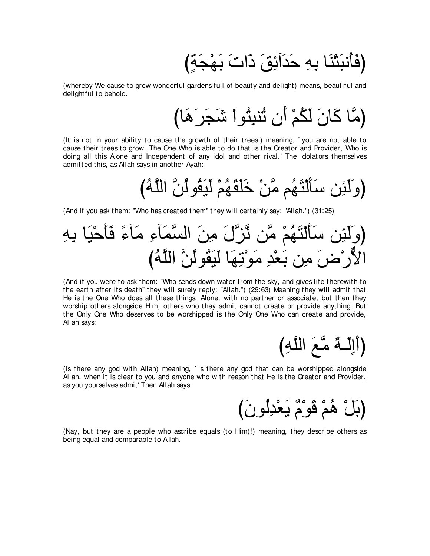(فَأَنبَثْنَا بِهِ حَدَآئِقَ ذَاتَ بَـهْجَةٍ)

(whereby We cause to grow wonderful gardens full of beauty and delight) means, beautiful and delightful to behold.

(It is not in your ability to cause the growth of their trees.) meaning, `you are not able to cause their trees to grow. The One Who is able to do that is the Creator and Provider, Who is doing all this Alone and Independent of any idol and other rival.' The idolators themselves admitted this, as Allah says in another Ayah:

(And if you ask them: "Who has created them" they will certainly say: "Allah.") (31:25)

(And if you were to ask them: "Who sends down water from the sky, and gives life therewith to the earth after its death" they will surely reply: "Allah.") (29:63) Meaning they will admit that He is the One Who does all these things, Alone, with no partner or associate, but then they worship others alongside Him, others who they admit cannot create or provide anything. But the Only One Who deserves to be worshipped is the Only One Who can create and provide. Allah savs:

(أَإِلَـٰهٌ مَّعَ اللَّهِ)

(Is there any god with Allah) meaning, `is there any god that can be worshipped alongside Allah, when it is clear to you and anyone who with reason that He is the Creator and Provider, as you yourselves admit' Then Allah says:

(بَلْ هُمْ قَوْمٌ يَعْدِلُونَ)

(Nay, but they are a people who ascribe equals (to Him)!) meaning, they describe others as being equal and comparable to Allah.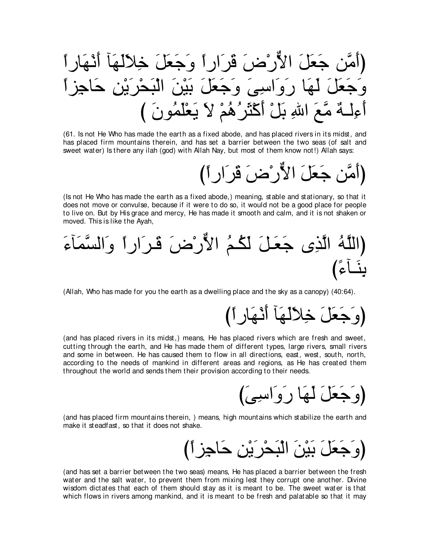(أَمَّن جَعَلَ الأَرْضَ ڤَرَارٍ أَ وَجَعَلَ خِلاَلَهَآ أَنْهَا وَجَعَلَ لَّـهَا رَوَاسِيٍّ وَجَعَلَ بَيْنَ الْبَحْرِيْنِ جَاجِز أَءِلَــةٌ مَّـعَ اللهِ بَلْ أَكْثَرُ هُمْ لا يَعْلَمُونَ )

(61. Is not He Who has made the earth as a fixed abode, and has placed rivers in its midst, and has placed firm mountains therein, and has set a barrier between the two seas (of salt and sweet water) Is there any ilah (god) with Allah Nay, but most of them know not!) Allah says:

(أَمَّنِ جَعَلَ الأَّرِ ْضَ قَرِ ارِ 1)

(Is not He Who has made the earth as a fixed abode,) meaning, stable and stationary, so that it does not move or convulse, because if it were to do so, it would not be a good place for people to live on. But by His grace and mercy, He has made it smooth and calm, and it is not shaken or moved. This is like the Ayah,

## (اللَّهُ الَّذِي جَعَلَ لَكُمُ الأَرْضَ قَرَارٍ أَ وَالسَّمَآءَ ينَــأعُ)

(Allah, Who has made for you the earth as a dwelling place and the sky as a canopy) (40:64).

(وَ جَعَلَ خِلاَلَهَا أَنْهَارِ أ

(and has placed rivers in its midst,) means, He has placed rivers which are fresh and sweet, cutting through the earth, and He has made them of different types, large rivers, small rivers and some in between. He has caused them to flow in all directions, east, west, south, north, according to the needs of mankind in different areas and regions, as He has created them throughout the world and sends them their provision according to their needs.

(وَ جَعَلَ لَيَهَا رِ وَ اسِي*يَ*)

(and has placed firm mountains therein, ) means, high mountains which stabilize the earth and make it steadfast, so that it does not shake.

(وَ جَعَلَ بَيْنَ الْبَحْرِ َيْنِ جَاجِزِ أَ)

(and has set a barrier between the two seas) means, He has placed a barrier between the fresh water and the salt water, to prevent them from mixing lest they corrupt one another. Divine wisdom dictates that each of them should stay as it is meant to be. The sweet water is that which flows in rivers among mankind, and it is meant to be fresh and palatable so that it may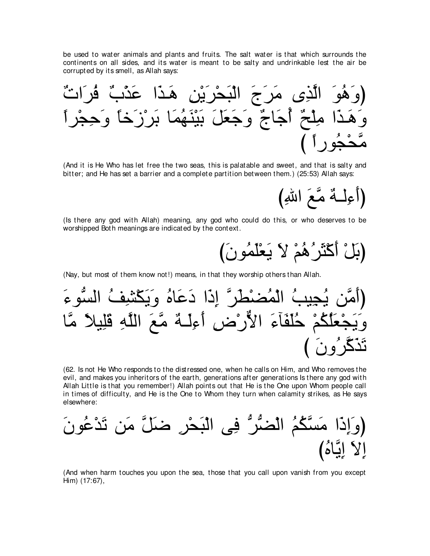be used to water animals and plants and fruits. The salt water is that which surrounds the continents on all sides, and its water is meant to be salty and undrinkable lest the air be corrupted by its smell, as Allah says:

(And it is He Who has let free the two seas, this is palatable and sweet, and that is salty and bitter; and He has set a barrier and a complete partition between them.) (25:53) Allah says:

(Is there any god with Allah) meaning, any god who could do this, or who deserves to be worshipped Both meanings are indicated by the context.

(Nay, but most of them know not!) means, in that they worship others than Allah.

(62. Is not He Who responds to the distressed one, when he calls on Him, and Who removes the evil, and makes you inheritors of the earth, generations after generations is there any god with Allah Little is that you remember!) Allah points out that He is the One upon Whom people call in times of difficulty, and He is the One to Whom they turn when calamity strikes, as He says elsewhere:

(And when harm touches you upon the sea, those that you call upon vanish from you except Him) (17:67),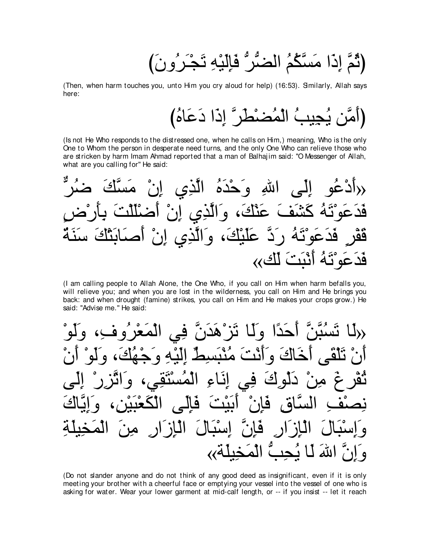(ثُمَّ إِذَا مَسَّكُمُ الْضَّرُّ فَإِلَيْهِ تَجْرَرُونَ)

(Then, when harm touches you, unto Him you cry aloud for help) (16:53). Similarly, Allah says here:

(Is not He Who responds to the distressed one, when he calls on Him.) meaning, Who is the only One to Whom the person in desperate need turns, and the only One Who can relieve those who are stricken by harm Imam Ahmad reported that a man of Balhajim said: "O Messenger of Allah, what are you calling for" He said:

(I am calling people to Allah Alone, the One Who, if you call on Him when harm befalls you, will relieve you; and when you are lost in the wilderness, you call on Him and He brings you back: and when drought (famine) strikes, you call on Him and He makes your crops grow.) He said: "Advise me." He said:

حَدًا وَلَمَا نَزْ هَدَنَ خَاكَ وَأَنْتَ مُذْبَسِطٌ الَّنُهِ وَ <u> ژاؤ </u>  $\mathbf{Q}$  $\hat{\mathbf{C}}$  $\bullet$ الماز ار فان اسد ، الم للّه  $\overline{1}$ 

(Do not slander anyone and do not think of any good deed as insignificant, even if it is only meeting your brother with a cheerful face or emptying your vessel into the vessel of one who is asking for water. Wear your lower garment at mid-calf length, or -- if you insist -- let it reach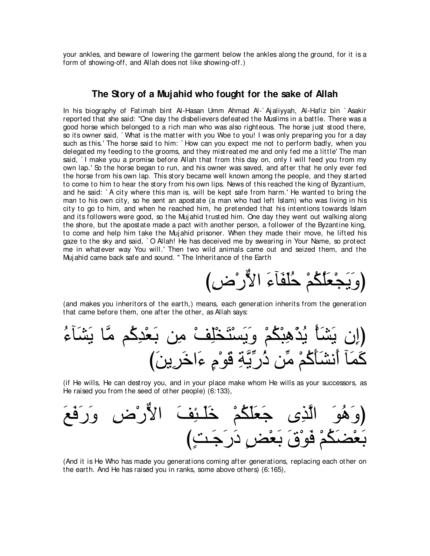your ankles, and beware of lowering the garment below the ankles along the ground, for it is a form of showing-off, and Allah does not like showing-off.)

#### **The Story of a Mujahid who fought for the sake of Allah**

In his biography of Fatimah bint Al-Hasan Umm Ahmad Al-` Aj aliyyah, Al-Hafiz bin ` Asakir reported that she said: "One day the disbelievers defeated the Muslims in a battle. There was a good horse which belonged to a rich man who was also righteous. The horse just stood there, so its owner said, ` What is the matter with you Woe to you! I was only preparing you for a day such as this.' The horse said to him: ` How can you expect me not to perform badly, when you delegated my feeding to the grooms, and they mistreated me and only fed me a little' The man said, `I make you a promise before Allah that from this day on, only I will feed you from my own lap.' So the horse began to run, and his owner was saved, and after that he only ever fed the horse from his own lap. This story became well known among the people, and they started to come to him to hear the story from his own lips. News of this reached the king of Byzantium, and he said: ` A city where this man is, will be kept safe from harm.' He wanted to bring the man to his own city, so he sent an apostate (a man who had left Islam) who was living in his city to go to him, and when he reached him, he pretended that his intentions towards Islam and its followers were good, so the Muj ahid trusted him. One day they went out walking along the shore, but the apostate made a pact with another person, a follower of the Byzantine king, to come and help him take the Muj ahid prisoner. When they made their move, he lifted his gaze to the sky and said, ` O Allah! He has deceived me by swearing in Your Name, so protect me in whatever way You will.' Then two wild animals came out and seized them, and the Muj ahid came back safe and sound. '' The Inheritance of the Earth

び⌒チ∇ケxΙや ∠¬べ∠ヘ∠ヤ⊥ェ ∇ユ⊥ム⊥ヤ∠バ∇イ∠Α∠ヱぴ

(and makes you inheritors of the earth,) means, each generation inherits from the generation that came before them, one after the other, as Allah says:

⊥¬べ∠ゼ∠Α ゅzョ ユ⊥ミ⌒ギ∇バ∠よ リ⌒ョ ∇ブ⌒ヤ∇ガ∠わ∇ジ∠Α∠ヱ ∇ユ⊥ム∇ら⌒ワ∇グ⊥Α ∇ほ∠ゼ∠Α ラ⌒まぴ び∠リΑ⌒ゲ∠カや∠¬ ∃ュ∇ヲ∠ホ ⌒るzΑあケ⊥ク リあョ ∇ユ⊥ミ∠ほ∠ゼル∠ぺ べ∠ヨ∠ミ

(if He wills, He can destroy you, and in your place make whom He wills as your successors, as He raised you from the seed of other people) (6:133),



(And it is He Who has made you generations coming after generations, replacing each other on the earth. And He has raised you in ranks, some above others) (6:165),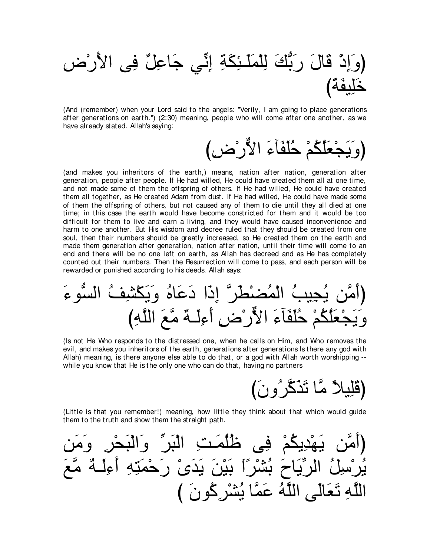(وَإِذْ قَالَ رَبُّكَ لِلْمَلَـٰئِكَةِ إِنِّي جَاعِلٌ فِي الأَرْضِ

(And (remember) when your Lord said to the angels: "Verily, I am going to place generations after generations on earth.") (2:30) meaning, people who will come after one another, as we have already stated. Allah's saying:

(and makes you inheritors of the earth.) means, nation after nation, generation after generation, people after people. If He had willed, He could have created them all at one time, and not made some of them the offspring of others. If He had willed, He could have created them all together, as He created Adam from dust. If He had willed, He could have made some of them the offspring of others, but not caused any of them to die until they all died at one time; in this case the earth would have become constricted for them and it would be too difficult for them to live and earn a living, and they would have caused inconvenience and harm to one another. But His wisdom and decree ruled that they should be created from one soul, then their numbers should be greatly increased, so He created them on the earth and made them generation after generation, nation after nation, until their time will come to an end and there will be no one left on earth, as Allah has decreed and as He has completely counted out their numbers. Then the Resurrection will come to pass, and each person will be rewarded or punished according to his deeds. Allah says:

(Is not He Who responds to the distressed one, when he calls on Him, and Who removes the evil, and makes you inheritors of the earth, generations after generations is there any god with Allah) meaning, is there anyone else able to do that, or a god with Allah worth worshipping -while you know that He is the only one who can do that, having no partners

(قَلِيلاً مَّا تَذَكَّرُ وِنَ)

(Little is that you remember!) meaning, how little they think about that which would guide them to the truth and show them the straight path.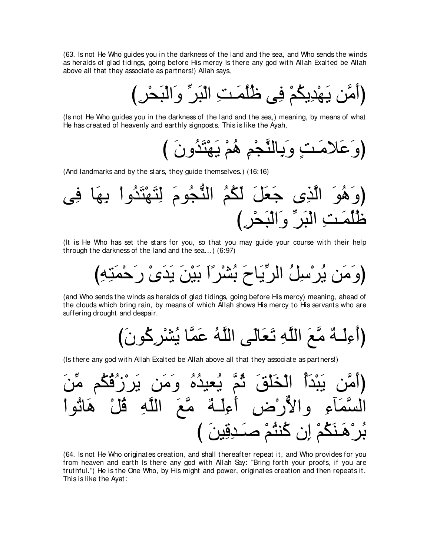(63. Is not He Who guides you in the darkness of the land and the sea, and Who sends the winds as heralds of glad tidings, going before His mercy Is there any god with Allah Exalted be Allah above all that they associate as partners!) Allah says,

، يَهْدِيكُمْ فِي ظُلُّ*مَتِ* الْبَرِّ وَالْبَحْرِ )

(Is not He Who guides you in the darkness of the land and the sea,) meaning, by means of what He has created of heavenly and earthly signposts. This is like the Ayah,

(وَعَلامَتٍ وَبِالنَّجْمِ هُمْ يَهْتَدُونَ )

(And landmarks and by the stars, they guide themselves.) (16:16)

ヴ⌒プ ゅ∠ヰ⌒よ ∇やヱ⊥ギ∠わ∇ヰ∠わ⌒ャ ∠ュヲ⊥イぁレャや ⊥ユ⊥ム∠ャ ∠モ∠バ∠ィ ン⌒グzャや ∠ヲ⊥ワ∠ヱぴ び⌒ゲ∇エ∠ら∇ャや∠ヱ あゲ∠ら∇ャや ⌒ろ⇒∠ヨ⊥ヤ⊥ニ

(It is He Who has set the stars for you, so that you may guide your course with their help through the darkness of the land and the sea...) (6:97)

び⌒ヮ⌒わ∠ヨ∇ェ∠ケ ∇ン∠ギ∠Α ∠リ∇Β∠よ ∠や⇔ゲ∇ゼ⊥よ ∠ゥゅ∠Αあゲャや ⊥モ⌒シ∇ゲ⊥Α リ∠ョ∠ヱぴ

(and Who sends the winds as heralds of glad tidings, going before His mercy) meaning, ahead of the clouds which bring rain, by means of which Allah shows His mercy to His servants who are suffering drought and despair.

び∠ラヲ⊥ミ⌒ゲ∇ゼ⊥Α ゅzヨ∠ハ ⊥ヮzヤャや ヴ∠ャゅ∠バ∠ゎ ⌒ヮzヤャや ∠ノzョ ∀ヮ⇒∠ャ⌒¬∠ぺぴ

(Is there any god with Allah Exalted be Allah above all that they associate as partners!)



(64. Is not He Who originates creation, and shall thereafter repeat it, and Who provides for you from heaven and earth Is there any god with Allah Say: "Bring forth your proofs, if you are truthful.'') He is the One Who, by His might and power, originates creation and then repeats it. This is like the Ayat: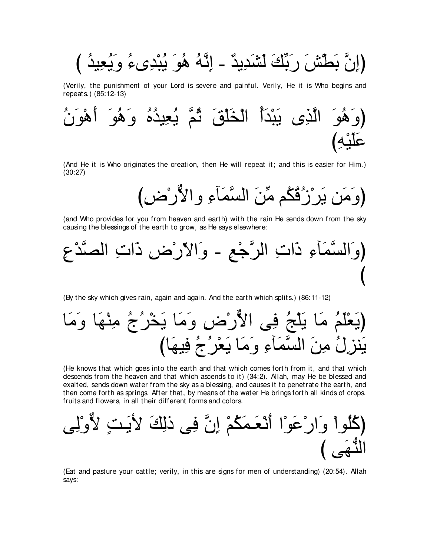بَطَّشَ رَبِّكَ لَشَدِيدٌ - إِنَّهُ هُوَ يُبْدِىءُ وَيُعِيدُ )

(Verily, the punishment of your Lord is severe and painful. Verily, He it is Who begins and repeats.) (85:12-13)



(And He it is Who originates the creation, then He will repeat it; and this is easier for Him.)  $(30:27)$ 

(and Who provides for you from heaven and earth) with the rain He sends down from the sky causing the blessings of the earth to grow, as He says elsewhere:



(By the sky which gives rain, again and again. And the earth which splits.) (86:11-12)

(He knows that which goes into the earth and that which comes forth from it, and that which descends from the heaven and that which ascends to it) (34:2). Allah, may He be blessed and exalted, sends down water from the sky as a blessing, and causes it to penetrate the earth, and then come forth as springs. After that, by means of the water He brings forth all kinds of crops, fruits and flowers, in all their different forms and colors.

(Eat and pasture your cattle; verily, in this are signs for men of understanding) (20:54). Allah says: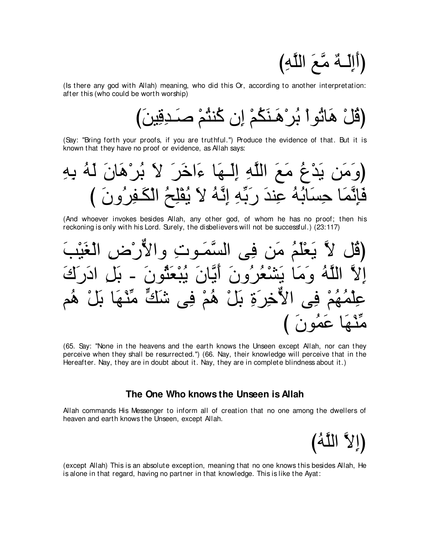(أَإِلَــهٌ مَّعَ اللَّهِ)

(Is there any god with Allah) meaning, who did this Or, according to another interpretation: after this (who could be worth worship)

び∠リΒ⌒ホ⌒ギ⇒∠タ ∇ユ⊥わレ⊥ミ ラ⌒ま ∇ユ⊥ム∠レ⇒∠ワ∇ゲ⊥よ ∇やヲ⊥ゎゅ∠ワ ∇モ⊥ホぴ

(Say: "Bring forth your proofs, if you are truthful.'') Produce the evidence of that. But it is known that they have no proof or evidence, as Allah says:

⌒ヮ⌒よ ⊥ヮ∠ャ ∠ラゅ∠ワ∇ゲ⊥よ ∠Ι ∠ゲ∠カや∠¬ ゅ∠ヰ⇒∠ャ⌒ま ⌒ヮzヤャや ∠ノ∠ョ ⊥ネ∇ギ∠Α リ∠ョ∠ヱぴ び ∠ラヱ⊥ゲ⌒ヘ⇒∠ム∇ャや ⊥ウ⌒ヤ∇ヘ⊥Α ∠Ι ⊥ヮzル⌒ま ⌒ヮあよ∠ケ ∠ギレ⌒ハ ⊥ヮ⊥よゅ∠ジ⌒ェ ゅ∠ヨzル⌒み∠プ

(And whoever invokes besides Allah, any other god, of whom he has no proof; then his reckoning is only with his Lord. Surely, the disbelievers will not be successful.) (23:117)

∠ょ∇Β∠ピ∇ャや ⌒チ∇ケxΙやヱ ⌒れヲ⇒∠ヨzジャや ヴ⌒プ リ∠ョ ⊥ユ∠ヤ∇バ∠Α zΙ モ⊥ホぴ ∠ポ∠ケ∠キや ⌒モ∠よ - ∠ラヲ⊥ん∠バ∇ら⊥Α ∠ラゅzΑ∠ぺ ∠ラヱ⊥ゲ⊥バ∇ゼ∠Α ゅ∠ョ∠ヱ ⊥ヮzヤャや zΙ⌒ま ユ⊥ワ ∇モ∠よ ゅ∠ヰ∇レあョ yマ∠セ ヴ⌒プ ∇ユ⊥ワ ∇モ∠よ ⌒り∠ゲ⌒カxΙや ヴ⌒プ ∇ユ⊥ヰ⊥ヨ∇ヤ⌒ハ び ∠ラヲ⊥ヨ∠ハ ゅ∠ヰ∇レあョ

(65. Say: "None in the heavens and the earth knows the Unseen except Allah, nor can they perceive when they shall be resurrected.'') (66. Nay, their knowledge will perceive that in the Hereafter. Nay, they are in doubt about it. Nay, they are in complete blindness about it.)

#### **The One Who knows the Unseen is Allah**

Allah commands His Messenger to inform all of creation that no one among the dwellers of heaven and earth knows the Unseen, except Allah.

إِلاَّ اللَّهُ)

(except Allah) This is an absolute exception, meaning that no one knows this besides Allah, He is alone in that regard, having no partner in that knowledge. This is like the Ayat: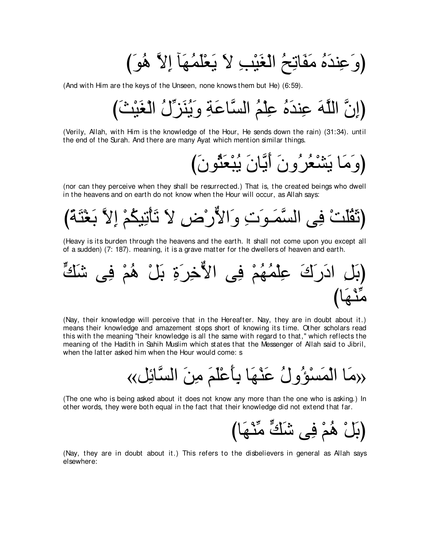び∠ヲ⊥ワ zΙ⌒ま べ∠ヰ⊥ヨ∠ヤ∇バ∠Α ∠Ι ⌒ょ∇Β∠ピ∇ャや ⊥ウ⌒ゎゅ∠ヘ∠ョ ⊥ロ∠ギレ⌒ハ∠ヱぴ

(And with Him are the keys of the Unseen, none knows them but He) (6:59).

び∠ゑ∇Β∠ピ∇ャや ⊥メあゴ∠レ⊥Α∠ヱ ⌒る∠ハゅzジャや ⊥ユ∇ヤ⌒ハ ⊥ロ∠ギレ⌒ハ ∠ヮzヤャや zラ⌒まぴ

(Verily, Allah, with Him is the knowledge of the Hour, He sends down the rain) (31:34). until the end of the Surah. And there are many Ayat which mention similar things.

(وَمَا يَشْعُرُونَ أَبَّانَ يُبْعَثُونَ)

(nor can they perceive when they shall be resurrected.) That is, the created beings who dwell in the heavens and on earth do not know when the Hour will occur, as Allah says:

び⇔る∠わ∇ピ∠よ zΙ⌒ま ∇ユ⊥ムΒ⌒ゎ∇ほ∠ゎ ∠Ι ⌒チ∇ケxΙや∠ヱ ⌒れ∠ヲ⇒∠ヨzジャや ヴ⌒プ ∇ろ∠ヤ⊥ボ∠をぴ

(Heavy is its burden through the heavens and the earth. It shall not come upon you except all of a sudden) (7: 187). meaning, it is a grave matter for the dwellers of heaven and earth.

(بَل ادَرَكَ عِلُمُهُمٰ في الأُخِرَةِ بَلٰ هُمٌ في شَكَّ
$$
\overline{\phantom{a}}
$$

(Nay, their knowledge will perceive that in the Hereafter. Nay, they are in doubt about it.) means their knowledge and amazement stops short of knowing its time. Other scholars read this with the meaning "their knowledge is all the same with regard to that,'' which reflects the meaning of the Hadith in Sahih Muslim which states that the Messenger of Allah said to Jibril, when the latter asked him when the Hour would come: s

«モ⌒もゅzジャや ∠リ⌒ョ ∠ユ∠ヤ∇ハ∠ほ⌒よ ゅ∠ヰ∇レ∠ハ ⊥メヱ⊥ぽ∇ジ∠ヨ∇ャや ゅ∠ョ»

(The one who is being asked about it does not know any more than the one who is asking.) In other words, they were both equal in the fact that their knowledge did not extend that far.

(بَلْ هُمْ فِي شَكٍّ مِّنْهَا)

(Nay, they are in doubt about it.) This refers to the disbelievers in general as Allah says elsewhere: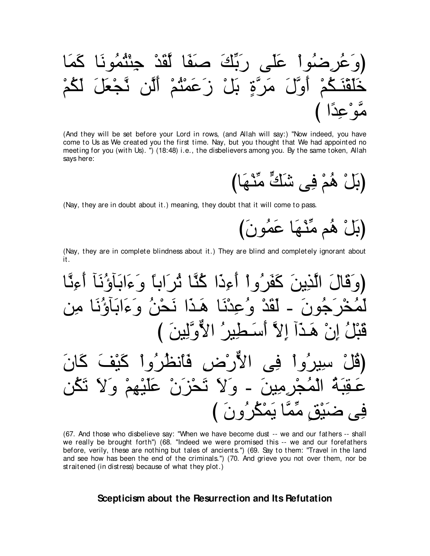(And they will be set before your Lord in rows, (and Allah will say:) "Now indeed, you have come to Us as We created you the first time. Nay, but you thought that We had appointed no meeting for you (with Us). ") (18:48) i.e., the disbelievers among you. By the same token, Allah says here:

(Nay, they are in doubt about it.) meaning, they doubt that it will come to pass.

(Nay, they are in complete blindness about it.) They are blind and completely ignorant about it.

(67. And those who disbelieve say: "When we have become dust -- we and our fathers -- shall we really be brought forth") (68. "Indeed we were promised this -- we and our forefathers before, verily, these are nothing but tales of ancients.") (69. Say to them: "Travel in the land and see how has been the end of the criminals.") (70. And grieve you not over them, nor be straitened (in distress) because of what they plot.)

#### Scepticism about the Resurrection and Its Refutation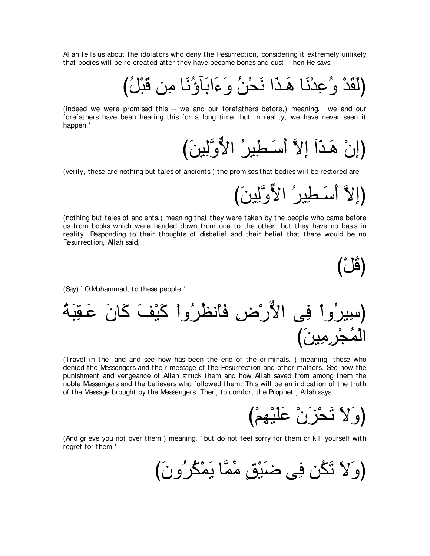Allah tells us about the idolators who deny the Resurrection, considering it extremely unlikely that bodies will be re-created after they have become bones and dust. Then He says:

(Indeed we were promised this -- we and our forefathers before.) meaning. `we and our forefathers have been hearing this for a long time, but in reality, we have never seen it happen.'

(إِنْ هَذَآ إِلاَّ أَسَطِيرُ الأَوَّلِينَ)

(verily, these are nothing but tales of ancients.) the promises that bodies will be restored are

(إِلاَّ أَسَطِينُ الأَوَّلِينَ)

(nothing but tales of ancients.) meaning that they were taken by the people who came before us from books which were handed down from one to the other, but they have no basis in reality. Responding to their thoughts of disbelief and their belief that there would be no Resurrection, Allah said,

(قُلْ)

(Say) `O Muhammad, to these people,'

(Travel in the land and see how has been the end of the criminals.) meaning, those who denied the Messengers and their message of the Pesurrection and other matters. See how the punishment and vengeance of Allah struck them and how Allah saved from among them the noble Messengers and the believers who followed them. This will be an indication of the truth of the Message brought by the Messengers. Then, to comfort the Prophet, Allah says:

(وَلاَ تَحْزَنْ عَلَيْهِمْ)

(And grieve you not over them,) meaning, `but do not feel sorry for them or kill yourself with regret for them,'

(وَلاَ تَكُن فِي ضَبْقٍ مِّمَّا يَمْكُرُونَ)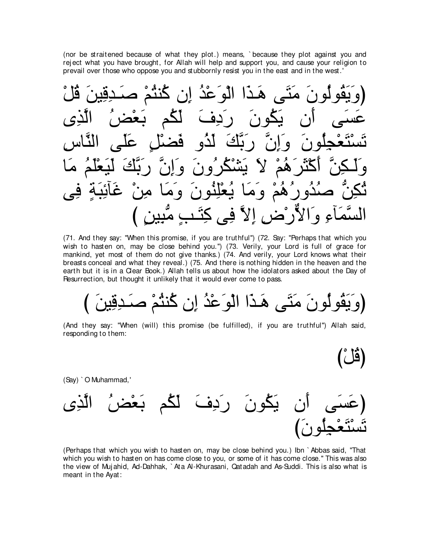(nor be straitened because of what they plot.) means, ` because they plot against you and rej ect what you have brought, for Allah will help and support you, and cause your religion to prevail over those who oppose you and stubbornly resist you in the east and in the west.'



(71. And they say: "When this promise, if you are truthful'') (72. Say: "Perhaps that which you wish to hasten on, may be close behind you.'') (73. Verily, your Lord is full of grace for mankind, yet most of them do not give thanks.) (74. And verily, your Lord knows what their breasts conceal and what they reveal.) (75. And there is nothing hidden in the heaven and the earth but it is in a Clear Book.) Allah tells us about how the idolators asked about the Day of Resurrection, but thought it unlikely that it would ever come to pass.

(وَيَقُولُونَ مَثَى هَذا الْوَعْدُ إن كُنثُمْ صَدفِين

 $\mathbf{Z}$ 

(And they say: "When (will) this promise (be fulfilled), if you are truthful'') Allah said, responding to them:

(Say) ` O Muhammad,'



(Perhaps that which you wish to hasten on, may be close behind you.) Ibn ` Abbas said, "That which you wish to hasten on has come close to you, or some of it has come close.'' This was also the view of Muj ahid, Ad-Dahhak, ` Ata Al-Khurasani, Qatadah and As-Suddi. This is also what is meant in the Ayat: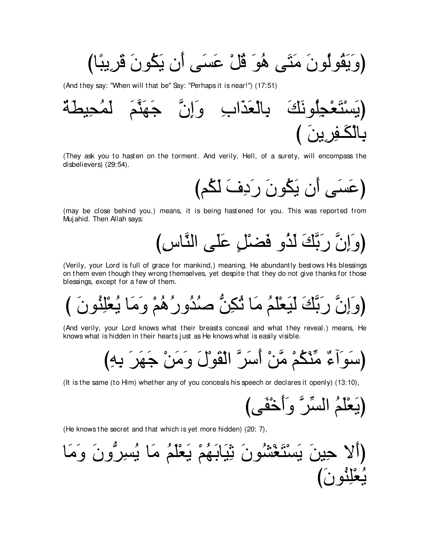(وَيَقُولُونَ مَتَى هُوَ قُلْ عَسَى أَن يَكُونَ قَرِيبًا)

(And they say: "When will that be" Say: "Perhaps it is near!") (17:51)



(They ask you to hasten on the torment. And verily, Hell, of a surety, will encompass the disbelievers) (29:54).

(عَسَى أَن يَكُونَ رَدِفَ لَكُم)

(may be close behind you.) means, it is being hastened for you. This was reported from Mujahid. Then Allah says:



(Verily, your Lord is full of grace for mankind,) meaning, He abundantly bestows His blessings on them even though they wrong themselves, yet despite that they do not give thanks for those blessings, except for a few of them.

(And verily, your Lord knows what their breasts conceal and what they reveal.) means, He knows what is hidden in their hearts just as He knows what is easily visible.

(It is the same (to Him) whether any of you conceals his speech or declares it openly) (13:10),

(He knows the secret and that which is yet more hidden) (20: 7),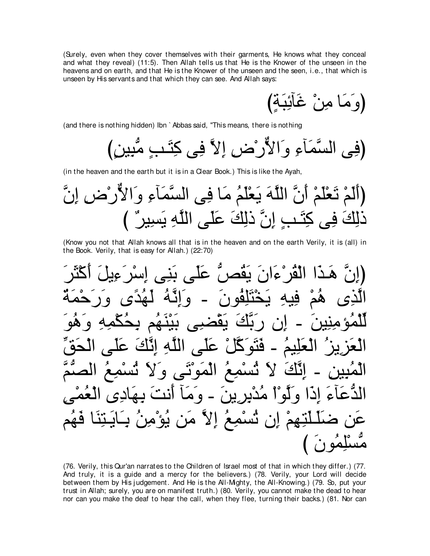(Surely, even when they cover themselves with their garments, He knows what they conceal and what they reveal) (11:5). Then Allah tells us that He is the Knower of the unseen in the heavens and on earth, and that He is the Knower of the unseen and the seen, i.e., that which is unseen by His servants and that which they can see. And Allah says:

(وَمَا مِنْ غَالَنِبَةٍ)

(and there is nothing hidden) Ibn `Abbas said, "This means, there is nothing

(in the heaven and the earth but it is in a Clear Book.) This is like the Ayah,

(Know you not that Allah knows all that is in the heaven and on the earth Verily, it is (all) in the Book. Verily, that is easy for Allah.) (22:70)

(76. Verily, this Qur'an narrates to the Children of Israel most of that in which they differ.) (77. And truly, it is a guide and a mercy for the believers.) (78. Verily, your Lord will decide between them by His judgement. And He is the All-Mighty, the All-Knowing.) (79. So, put your trust in Allah; surely, you are on manifest truth.) (80. Verily, you cannot make the dead to hear nor can you make the deaf to hear the call, when they flee, turning their backs.) (81. Nor can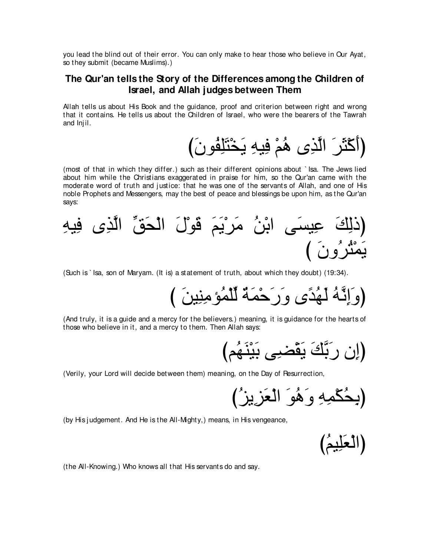you lead the blind out of their error. You can only make to hear those who believe in Our Ayat, so they submit (became Muslims).)

#### **The Qur'an tells the Story of the Differences among the Children of Israel, and Allah judges between Them**

Allah tells us about His Book and the guidance, proof and criterion between right and wrong that it contains. He tells us about the Children of Israel, who were the bearers of the Tawrah and Inj il.

(أَكْثَرَ الَّذِي هُمْ فِيهِ يَخْتَلِفُونَ)

(most of that in which they differ.) such as their different opinions about ` Isa. The Jews lied about him while the Christians exaggerated in praise for him, so the Qur'an came with the moderate word of truth and justice: that he was one of the servants of Allah, and one of His noble Prophets and Messengers, may the best of peace and blessings be upon him, as the Qur'an says:



(Such is ` Isa, son of Maryam. (It is) a statement of truth, about which they doubt) (19:34).

び ∠リΒ⌒レ⌒ョぽ⊥ヨ∇ヤあャ ∀る∠ヨ∇ェ∠ケ∠ヱ ン⇔ギ⊥ヰ∠ャ ⊥ヮzル⌒ま∠ヱぴ

(And truly, it is a guide and a mercy for the believers.) meaning, it is guidance for the hearts of those who believe in it, and a mercy to them. Then Allah says:

びユ⊥ヰ∠レ∇Β∠よ ヴ⌒ツ∇ボ∠Α ∠マzよ∠ケ ラ⌒まぴ

(Verily, your Lord will decide between them) meaning, on the Day of Resurrection,

(بِحُكْمِهِ وَكُوَ الْعَزِيزُ

(by His j udgement. And He is the All-Mighty,) means, in His vengeance,

(العَلِيمُ)

(the All-Knowing.) Who knows all that His servants do and say.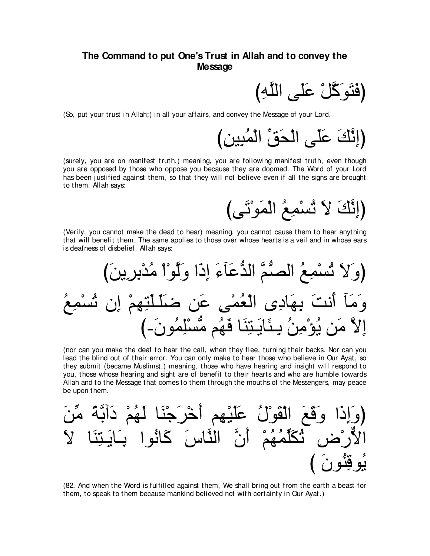#### The Command to put One's Trust in Allah and to convey the **Message**

(فَتَوَكَّلْ عَلَى اللَّهِ)

(So, put your trust in Allah;) in all your affairs, and convey the Message of your Lord.

(إِنَّكَ عَلَى الْحَقِّ الْمُبِينِ)

(surely, you are on manifest truth.) meaning, you are following manifest truth, even though you are opposed by those who oppose you because they are doomed. The Word of your Lord has been justified against them, so that they will not believe even if all the signs are brought to them. Allah says:

(إِنَّكَ لاَ تُسْمِعُ الْمَوْتَى)

(Verily, you cannot make the dead to hear) meaning, you cannot cause them to hear anything that will benefit them. The same applies to those over whose hearts is a veil and in whose ears is deafness of disbelief. Allah savs:

(nor can you make the deaf to hear the call, when they flee, turning their backs. Nor can you lead the blind out of their error. You can only make to hear those who believe in Our Ayat, so they submit (became Muslims).) meaning, those who have hearing and insight will respond to you, those whose hearing and sight are of benefit to their hearts and who are humble towards Allah and to the Message that comes to them through the mouths of the Messengers, may peace be upon them.

(82. And when the Word is fulfilled against them, We shall bring out from the earth a beast for them, to speak to them because mankind believed not with certainty in Our Ayat.)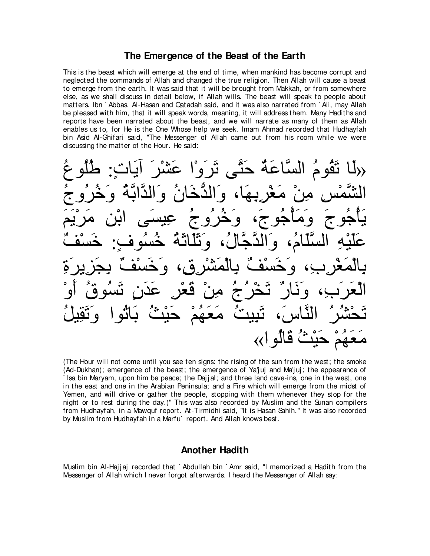#### **The Emergence of the Beast of the Earth**

This is the beast which will emerge at the end of time, when mankind has become corrupt and neglected the commands of Allah and changed the true religion. Then Allah will cause a beast to emerge from the earth. It was said that it will be brought from Makkah, or from somewhere else, as we shall discuss in detail below, if Allah wills. The beast will speak to people about matters. Ibn ` Abbas, Al-Hasan and Qatadah said, and it was also narrated from ` Ali, may Allah be pleased with him, that it will speak words, meaning, it will address them. Many Hadiths and reports have been narrated about the beast, and we will narrate as many of them as Allah enables us to, for He is the One Whose help we seek. Imam Ahmad recorded that Hudhayfah bin Asid Al-Ghifari said, "The Messenger of Allah came out from his room while we were discussing the matter of the Hour. He said:

دلاًا تَقُومُ السَّاعَةُ حَتَّى تَرَوْا عَشْرَ ابَاتٍ: طُلُوعُ الشَّمْس منْ مَغْريهَا، وَالدَّخَانُ وَالدَّابَّةُ وَخُرُوجُ يَأجُوجَ وَمَأجُوجَ، وَخُرُوجُ عِيسَى ابْنِ مَرْيَمَ عَلَيْهِ السَّلَّامُ، وَالدَّجَّالُ، وَثَلَّاثَةٌ خُسُوفٍ: خَسْفٌ بِالْمَغْرِبِ، وَخَسْفٌ بِالْمَشْرِقِ، وَخَسْفٌ بِجَزِيرَةِ الْعَرَبِ، وَنَارٌ تَخْرُجُ مِنْ قَعْرٍ عَدَنٍ تَسُوقُ أَوْ تَحْشُرُ النَّاسَ، تَبِيبْتُ مَعَهُمْ حَيْثٌ بَاثُوا وَتَقِيلُ ، قالو (∢)

(The Hour will not come until you see ten signs: the rising of the sun from the west; the smoke (Ad-Dukhan); emergence of the beast; the emergence of Ya'juj and Ma'juj; the appearance of Isa bin Maryam, upon him be peace; the Dajjal; and three land cave-ins, one in the west, one in the east and one in the Arabian Peninsula; and a Fire which will emerge from the midst of Yemen, and will drive or gather the people, stopping with them whenever they stop for the night or to rest during the day.)'' This was also recorded by Muslim and the Sunan compilers from Hudhayfah, in a Mawquf report. At-Tirmidhi said, "It is Hasan Sahih.'' It was also recorded by Muslim from Hudhayfah in a Marfu` report. And Allah knows best.

#### **Another Hadith**

Muslim bin Al-Hajjaj recorded that `Abdullah bin `Amr said, "I memorized a Hadith from the Messenger of Allah which I never forgot afterwards. I heard the Messenger of Allah say: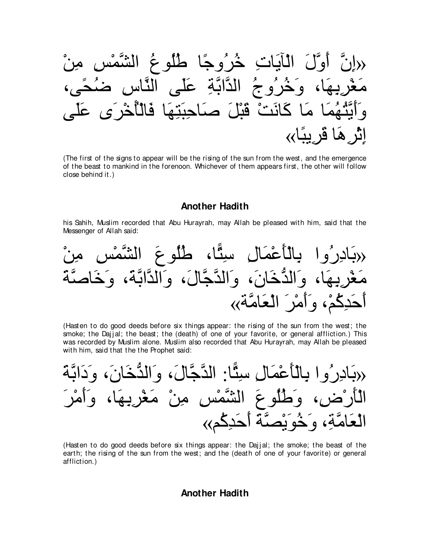∇リ⌒ョ ⌒ザ∇ヨzゼャや ⊥ネヲ⊥ヤ⊥デ ゅ⇔ィヱ⊥ゲ⊥カ ⌒れゅ∠Αべ∇ャや ∠メzヱ∠ぺ zラ⌒ま» ∩ヴ⇔エ⊥ッ ⌒サゅzレャや ヴ∠ヤ∠ハ ⌒るzよやzギャや ⊥ァヱ⊥ゲ⊥カ∠ヱ ∩ゅ∠ヰ⌒よ⌒ゲ∇ピ∠ョ ヴ∠ヤ∠ハ ン∠ゲ∇カ⊥ほ∇ャゅ∠プ ゅ∠ヰ⌒わ∠ら⌒ェゅ∠タ ∠モ∇ら∠ホ ∇ろ∠ルゅ∠ミ ゅ∠ョ ゅ∠ヨ⊥ヰ⊥わzΑ∠ぺ∠ヱ «ゅ⇔らΑ⌒ゲ∠ホ ゅ∠ワ⌒ゲ∇を⌒ま

(The first of the signs to appear will be the rising of the sun from the west, and the emergence of the beast to mankind in the forenoon. Whichever of them appears first, the other will follow close behind it.)

#### **Another Hadith**

his Sahih, Muslim recorded that Abu Hurayrah, may Allah be pleased with him, said that the Messenger of Allah said:

∇リ⌒ョ ⌒ザ∇ヨzゼャや ∠ネヲ⊥ヤ⊥デ ∩ゅ6わ⌒シ ⌒メゅ∠ヨ∇ハ∠ほ∇ャゅ⌒よ やヱ⊥ケ⌒キゅ∠よ» ∠るzタゅ∠カ∠ヱ ∩∠るzよやzギャや∠ヱ ∩∠メゅzィzギャや∠ヱ ∩∠ラゅ∠カぁギャや∠ヱ ∩ゅ∠ヰ⌒よ⌒ゲ∇ピ∠ョ «るzョゅ∠バ∇ャや ∠ゲ∇ョ∠ぺ∠ヱ ∩∇ユ⊥ミ⌒ギ∠ェ∠ぺ

(Hasten to do good deeds before six things appear: the rising of the sun from the west; the smoke; the Dajjal; the beast; the (death) of one of your favorite, or general affliction.) This was recorded by Muslim alone. Muslim also recorded that Abu Hurayrah, may Allah be pleased with him, said that the the Prophet said:

∠るzよや∠キ∠ヱ ∩∠ラゅ∠カぁギャや∠ヱ ∩∠メゅzィzギャや :ゅ6わ⌒シ ⌒メゅ∠ヨ∇ハ∠ほ∇ャゅ⌒よ やヱ⊥ケ⌒キゅ∠よ» ∠ゲ∇ョ∠ぺ∠ヱ ∩ゅ∠ヰ⌒よ⌒ゲ∇ピ∠ョ ∇リ⌒ョ ⌒ザ∇ヨzゼャや ∠ネヲ⊥ヤ⊥デ∠ヱ ∩⌒チ∇ケ∠ほ∇ャや «ユ⊥ミ⌒ギ∠ェ∠ぺ ∠るzダ∇Α∠ヲ⊥カ∠ヱ ∩⌒るzョゅ∠バ∇ャや

(Hasten to do good deeds before six things appear: the Dajjal; the smoke; the beast of the earth; the rising of the sun from the west; and the (death of one of your favorite) or general affliction.)

#### **Another Hadith**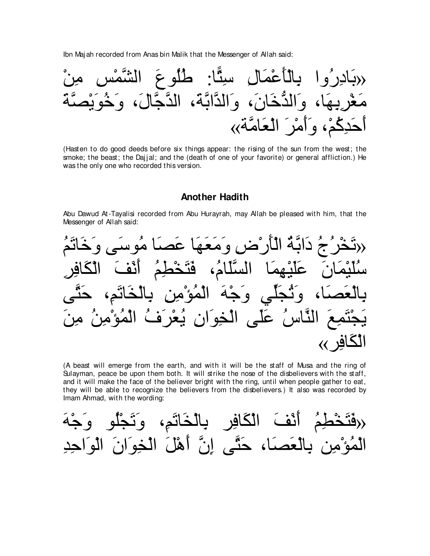Ibn Maj ah recorded from Anas bin Malik that the Messenger of Allah said:



(Hasten to do good deeds before six things appear: the rising of the sun from the west; the smoke; the beast; the Dajjal; and the (death of one of your favorite) or general affliction.) He was the only one who recorded this version.

#### **Another Hadith**

Abu Dawud At-Tayalisi recorded from Abu Hurayrah, may Allah be pleased with him, that the Messenger of Allah said:

⊥ユ∠ゎゅ∠カ∠ヱ ヴ∠シヲ⊥ョ ゅ∠ダ∠ハ ゅ∠ヰ∠バ∠ョ∠ヱ ⌒チ∇ケ∠ほ∇ャや ⊥るzよや∠キ ⊥ァ⊥ゲ∇ガ∠ゎ» ⌒ゲ⌒プゅ∠ム∇ャや ∠ブ∇ル∠ぺ ⊥ユ⌒ト∇ガ∠わ∠プ ∩⊥ュゅ∠ヤzジャや ゅ∠ヨ⌒ヰ∇Β∠ヤ∠ハ ∠ラゅ∠ヨ∇Β∠ヤ⊥シ ヴzわ∠ェ ∩⌒ユ∠ゎゅ∠ガ∇ャゅ⌒よ ⌒リ⌒ョ∇ぽ⊥ヨ∇ャや ∠ヮ∇ィ∠ヱ ヶあヤ∠イ⊥ゎ∠ヱ ∩ゅ∠ダ∠バ∇ャゅ⌒よ ∠リ⌒ョ ⊥リ⌒ョ∇ぽ⊥ヨ∇ャや ⊥フ∠ゲ∇バ⊥Α ⌒ラや∠ヲ⌒ガ∇ャや ヴ∠ヤ∠ハ ⊥サゅzレャや ∠ノ⌒ヨ∠わ∇イ∠Α «ゲ⌒プゅ∠ム∇ャや

(A beast will emerge from the earth, and with it will be the staff of Musa and the ring of Sulayman, peace be upon them both. It will strike the nose of the disbelievers with the staff, and it will make the face of the believer bright with the ring, until when people gather to eat, they will be able to recognize the believers from the disbelievers.) It also was recorded by Imam Ahmad, with the wording:

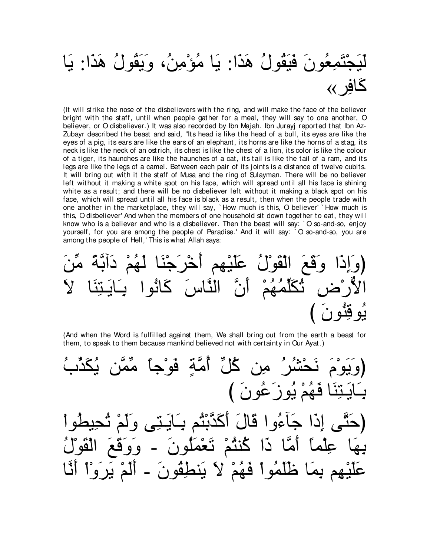# جْتَمِعُونَ فَيَقُولُ هَذَا: يَا مُؤْمِنُ، وَيَقُولُ هَذَا: يَا

(It will strike the nose of the disbelievers with the ring, and will make the face of the believer bright with the staff, until when people gather for a meal, they will say to one another, O believer, or O disbeliever.) It was also recorded by Ibn Majah. Ibn Jurayj reported that Ibn Az-Zubayr described the beast and said, "Its head is like the head of a bull, its eyes are like the eyes of a pig, its ears are like the ears of an elephant, its horns are like the horns of a stag, its neck is like the neck of an ostrich, its chest is like the chest of a lion, its color is like the colour of a tiger, its haunches are like the haunches of a cat, its tail is like the tail of a ram, and its legs are like the legs of a camel. Between each pair of its joints is a distance of twelve cubits. It will bring out with it the staff of Musa and the ring of Sulayman. There will be no believer left without it making a white spot on his face, which will spread until all his face is shining white as a result; and there will be no disbeliever left without it making a black spot on his face, which will spread until all his face is black as a result, then when the people trade with one another in the marketplace, they will say, `How much is this, O believer' `How much is this, O disbeliever' And when the members of one household sit down together to eat, they will know who is a believer and who is a disbeliever. Then the beast will say: `O so-and-so, enjoy yourself, for you are among the people of Paradise.' And it will say: `O so-and-so, you are among the people of Hell,' This is what Allah says:

(And when the Word is fulfilled against them, We shall bring out from the earth a beast for them, to speak to them because mankind believed not with certainty in Our Ayat.)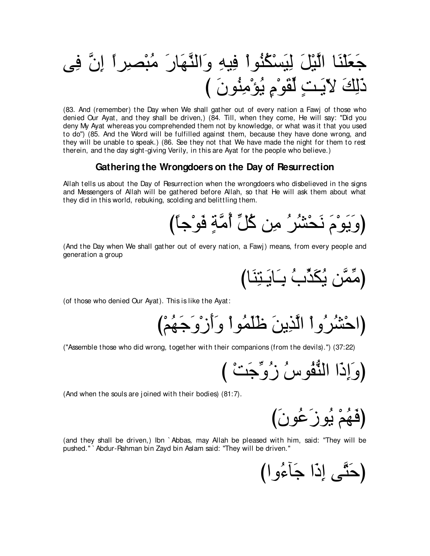(83. And (remember) the Day when We shall gather out of every nation a Fawj of those who denied Our Ayat, and they shall be driven,) (84. Till, when they come, He will say: "Did you deny My Ayat whereas you comprehended them not by knowledge, or what was it that you used to do") (85. And the Word will be fulfilled against them, because they have done wrong, and they will be unable to speak.) (86. See they not that We have made the night for them to rest therein, and the day sight-giving Verily, in this are Ayat for the people who believe.)

#### Gathering the Wrongdoers on the Day of Resurrection

Allah tells us about the Day of Resurrection when the wrongdoers who disbelieved in the signs and Messengers of Allah will be gathered before Allah, so that He will ask them about what they did in this world, rebuking, scolding and belittling them.

(And the Day when We shall gather out of every nation, a Fawj) means, from every people and generation a group

(مِّمَّن يُكَدِّبُ بِـَابَـتِنَا)

(of those who denied Our Ayat). This is like the Ayat:

("Assemble those who did wrong, together with their companions (from the devils).") (37:22)

(And when the souls are joined with their bodies) (81:7).

(فَهُمْ يُوزَعُونَ)

(and they shall be driven,) Ibn `Abbas, may Allah be pleased with him, said: "They will be pushed." Abdur-Rahman bin Zayd bin Aslam said: "They will be driven."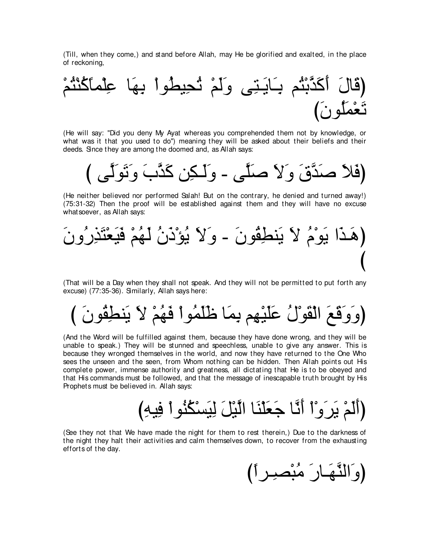(Till, when they come,) and stand before Allah, may He be glorified and exalted, in the place of reckoning,



(He will say: "Did you deny My Ayat whereas you comprehended them not by knowledge, or what was it that you used to do'') meaning they will be asked about their beliefs and their deeds. Since they are among the doomed and, as Allah says:



(He neither believed nor performed Salah! But on the contrary, he denied and turned away!) (75:31-32) Then the proof will be established against them and they will have no excuse what soever, as Allah says:



(That will be a Day when they shall not speak. And they will not be permitted to put forth any excuse) (77:35-36). Similarly, Allah says here:

び ∠ラヲ⊥ボ⌒トレ∠Α ∠Ι ∇ユ⊥ヰ∠プ ∇やヲ⊥ヨ∠ヤ∠ニ ゅ∠ヨ⌒よ ユ⌒ヰ∇Β∠ヤ∠ハ ⊥メ∇ヲ∠ボ∇ャや ∠ノ∠ホ∠ヱ∠ヱぴ

(And the Word will be fulfilled against them, because they have done wrong, and they will be unable to speak.) They will be stunned and speechless, unable to give any answer. This is because they wronged themselves in the world, and now they have returned to the One Who sees the unseen and the seen, from Whom nothing can be hidden. Then Allah points out His complete power, immense authority and greatness, all dictating that He is to be obeyed and that His commands must be followed, and that the message of inescapable truth brought by His Prophets must be believed in. Allah says:

び⌒ヮΒ⌒プ ∇やヲ⊥レ⊥ム∇ジ∠Β⌒ャ ∠モ∇Βzャや ゅ∠レ∇ヤ∠バ∠ィ ゅzル∠ぺ ∇や∇ヱ∠ゲ∠Α ∇ユ∠ャ∠ぺぴ

(See they not that We have made the night for them to rest therein,) Due to the darkness of the night they halt their activities and calm themselves down, to recover from the exhausting efforts of the day.

(وَالنَّهَـارَ مُبْصبِـراً)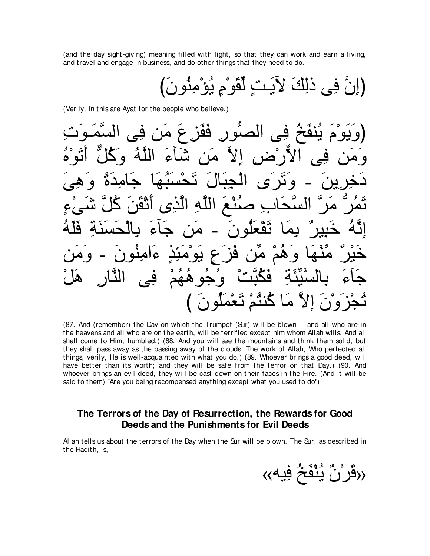(and the day sight-giving) meaning filled with light, so that they can work and earn a living, and travel and engage in business, and do other things that they need to do.

(Verily, in this are Ayat for the people who believe.)

(87. And (remember) the Day on which the Trumpet (Sur) will be blown -- and all who are in the heavens and all who are on the earth, will be terrified except him whom Allah wills. And all shall come to Him, humbled.) (88. And you will see the mountains and think them solid, but they shall pass away as the passing away of the clouds. The work of Allah, Who perfected all things, verily, He is well-acquainted with what you do.) (89. Whoever brings a good deed, will have better than its worth; and they will be safe from the terror on that Day.) (90. And whoever brings an evil deed, they will be cast down on their faces in the Fire. (And it will be said to them) "Are you being recompensed anything except what you used to do")

#### The Terrors of the Day of Resurrection, the Rewards for Good Deeds and the Punishments for Evil Deeds

Allah tells us about the terrors of the Day when the Sur will be blown. The Sur, as described in the Hadith, is,

«قَرْنٌ يُنْفَخُ فِيه»)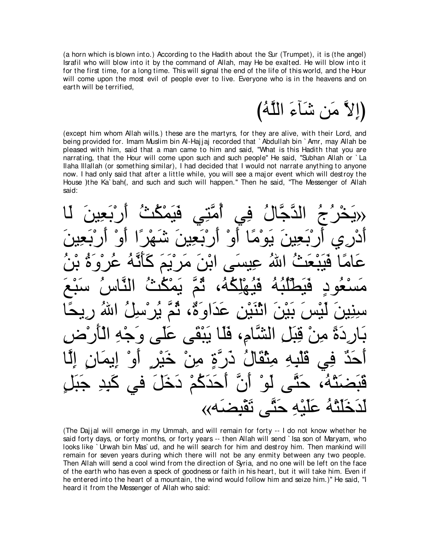(a horn which is blown into.) According to the Hadith about the Sur (Trumpet), it is (the angel) Israfil who will blow into it by the command of Allah, may He be exalted. He will blow into it for the first time, for a long time. This will signal the end of the life of this world, and the Hour will come upon the most evil of people ever to live. Everyone who is in the heavens and on earth will be terrified,

(اِلاَّ مَن شَاَءَ اللَّهُ)

(except him whom Allah wills.) these are the martyrs, for they are alive, with their Lord, and being provided for. Imam Muslim bin Al-Hajjaj recorded that `Abdullah bin `Amr, may Allah be pleased with him, said that a man came to him and said, "What is this Hadith that you are narrating, that the Hour will come upon such and such people" He said, "Subhan Allah or `La Ilaha Illallah (or something similar), I had decided that I would not narrate anything to anyone now. I had only said that after a little while, you will see a major event which will destroy the House Ithe Ka bah(, and such and such will happen." Then he said, "The Messenger of Allah said:

حِبَحْرُ جُ الدَّجَّالُ فِي ٱمَّتِي فَيَمْكُثُ ٱربَعِينَ لَـا $\chi$ أَدْرِي أَرْبَعِينَ يَوْمًا أَوْ أَرْبَعِينَ شَهْرًا أَوْ أَرْبَعِينَ عَامًا فَيَبْعَثُ اللهُ عِيسَى ابْنَ مَرْيَمَ كَأَنَّهُ عُرْوَةُ بْنُ مَسْعُودٍ فَيَطَلَّبُهُ فَيُهْلِكُهُ، ثُّمَّ يَمْكُثُ النَّاسُ سَبْعَ سِنِينَ لَيْسَ بَيْنَ اثْنَيْنِ عَدَاوَةٌ، ثُمَّ يُرْسِلُ اللهُ رِيحًا بَارِدَةً مِنْ قِبَلِ الشَّامِ، فَلَـا يَبْقَى عَلَى و<sup>َ</sup>جْهِ الْأَرْض آحَدٌ فِي قَلْبِهِ مِنْقَالُ ذَرَّةٍ مِنْ خَيْرٍ أَوْ إِيمَانِ إِلَّا ∑حٍ دخل في حنے ، نقْنض

(The Dajjal will emerge in my Ummah, and will remain for forty -- I do not know whether he said forty days, or forty months, or forty years -- then Allah will send ` Isa son of Maryam, who looks like ` Urwah bin Mas` ud, and he will search for him and destroy him. Then mankind will remain for seven years during which there will not be any enmity between any two people. Then Allah will send a cool wind from the direction of Syria, and no one will be left on the face of the earth who has even a speck of goodness or faith in his heart, but it will take him. Even if he entered into the heart of a mountain, the wind would follow him and seize him.)'' He said, "I heard it from the Messenger of Allah who said: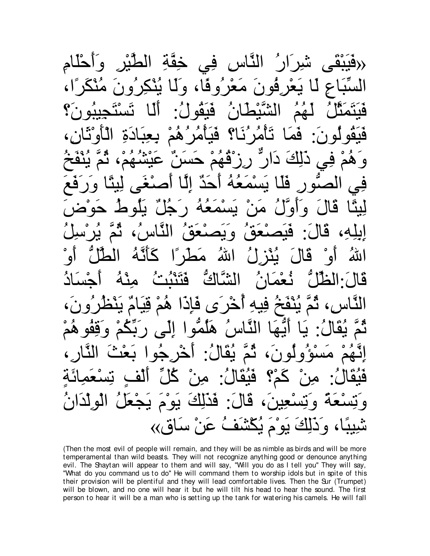النَّاس فِي خِقَّةِ الطَّيْرِ وآحَلَّامِ ِفُونَ مَعْر ُو ڤا، وَلَا يُنْكِرْه قَيَنَمَثَّلُ لَهُمُ الشَّيْطَانُ فَيَقُولُ: أَلَّا تَسْتَجِيبُونَ؟ هَيَقُولُونَ: فَمَا تَأْمُرُنَا؟ فَيَأْمُرُهُمْ بِعِبَادَةِ الْأَوْثَانِ، وَهُمْ فِي ذَٰلِكَ دَارٌ رِزْقُهُمْ حَسَنٌ عَيْشُهُمْ، ثُمَّ يُنْفَخُ فِي الصّورِ فَلَا يَسْمَعُهُ أَحَدٌ إِلَّا أَصنْغَى لِيئًا وَرَفَعَ لِيئًا قَالَ وَأَوَّلُ مَنْ يَسْمَعُهُ رَجُلٌ يَلُوطُ حَوْضَ إيلِهِ، قَالَ: فَيَصنْعَقُ التَّاسُ، ثُمَّ يُرْسلُ اللهُ أَوْ قَالَ يُنْزِلُ اللهُ مَطْرًِا كَأَنَّهُ الطُّلُّ أَوْ قَالَ:الظَّلَّ نُعْمَانُ الشَّاكَّ فَتَنْبُثُ مِنْهُ أَجْسَادُ النَّاس، ثُمَّ يُنْفَخُ فِيهِ ٱخْرَى فَإِذَا هُمْ قِيَامٌ يَنْظُرُونَ، نَّمَّ يُقَالُ: يَا أَيُّهَا النَّاسُ هَلْمُّوا إِلَى رَبِّكُمْ وَقِفُوهُمْ اِنَّـهُمْ مَسْؤُولُونَ، ثُمَّ يُقَالُ: أَخْرِجُوا بَعْثَ النَّارِ، فَيُقَالُ: مِنْ كَمْ؟ فَيُقَالُ: مِنْ كُلِّ ٱلْفٍ تِسْعَمِائَةٍ ِكَالَ: فَدَٰلِكَ يَوْمَ يَجْعَلُ الْوِلْدَا كَ يَوْمَ يُكْشَفُ عَنْ سَاقٍ››

(Then the most evil of people will remain, and they will be as nimble as birds and will be more temperamental than wild beasts. They will not recognize anything good or denounce anything evil. The Shaytan will appear to them and will say, "Will you do as I tell you'' They will say, "What do you command us to do'' He will command them to worship idols but in spite of this their provision will be plentiful and they will lead comfortable lives. Then the Sur (Trumpet) will be blown, and no one will hear it but he will tilt his head to hear the sound. The first person to hear it will be a man who is setting up the tank for watering his camels. He will fall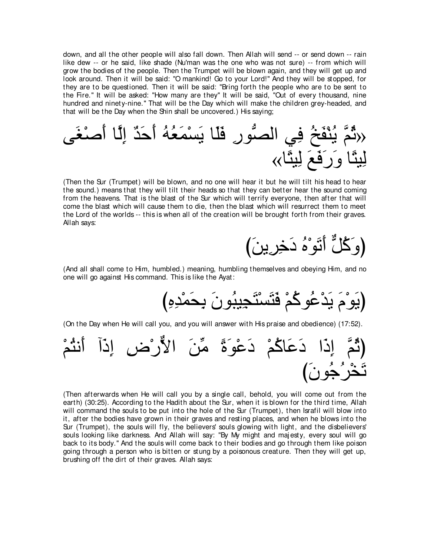down, and all the other people will also fall down. Then Allah will send -- or send down -- rain like dew -- or he said, like shade (Nu'man was the one who was not sure) -- from which will grow the bodies of the people. Then the Trumpet will be blown again, and they will get up and look around. Then it will be said: "O mankind! Go to your Lord!'' And they will be stopped, for they are to be questioned. Then it will be said: "Bring forth the people who are to be sent to the Fire.'' It will be asked: "How many are they'' It will be said, "Out of every thousand, nine hundred and ninety-nine.'' That will be the Day which will make the children grey-headed, and that will be the Day when the Shin shall be uncovered.) His saying;



(Then the Sur (Trumpet) will be blown, and no one will hear it but he will tilt his head to hear the sound.) means that they will tilt their heads so that they can better hear the sound coming from the heavens. That is the blast of the Sur which will terrify everyone, then after that will come the blast which will cause them to die, then the blast which will resurrect them to meet the Lord of the worlds -- this is when all of the creation will be brought forth from their graves. Allah says:



(And all shall come to Him, humbled.) meaning, humbling themselves and obeying Him, and no one will go against His command. This is like the Ayat:

び⌒ロ⌒ギ∇ヨ∠エ⌒よ ∠ラヲ⊥らΒ⌒イ∠わ∇ジ∠わ∠プ ∇ユ⊥ミヲ⊥ハ∇ギ∠Α ∠ュ∇ヲ∠Αぴ

(On the Day when He will call you, and you will answer with His praise and obedience) (17:52).



(Then afterwards when He will call you by a single call, behold, you will come out from the earth) (30:25). According to the Hadith about the Sur, when it is blown for the third time, Allah will command the souls to be put into the hole of the Sur (Trumpet), then Israfil will blow into it, after the bodies have grown in their graves and resting places, and when he blows into the Sur (Trumpet), the souls will fly, the believers' souls glowing with light, and the disbelievers' souls looking like darkness. And Allah will say: "By My might and majesty, every soul will go back to its body.'' And the souls will come back to their bodies and go through them like poison going through a person who is bitten or stung by a poisonous creature. Then they will get up, brushing off the dirt of their graves. Allah says: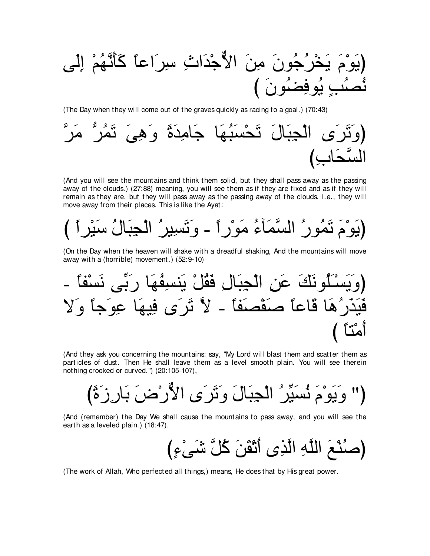(The Day when they will come out of the graves quickly as racing to a goal.) (70:43)



(And you will see the mountains and think them solid, but they shall pass away as the passing away of the clouds.) (27:88) meaning, you will see them as if they are fixed and as if they will remain as they are, but they will pass away as the passing away of the clouds, i.e., they will move away from their places. This is like the Ayat:

(On the Day when the heaven will shake with a dreadful shaking, And the mountains will move away with a (horrible) movement.) (52:9-10)

(And they ask you concerning the mountains: say, "My Lord will blast them and scatter them as particles of dust. Then He shall leave them as a level smooth plain. You will see therein nothing crooked or curved.") (20:105-107),

(And (remember) the Day We shall cause the mountains to pass away, and you will see the earth as a leveled plain.) (18:47).

(The work of Allah, Who perfected all things,) means, He does that by His great power.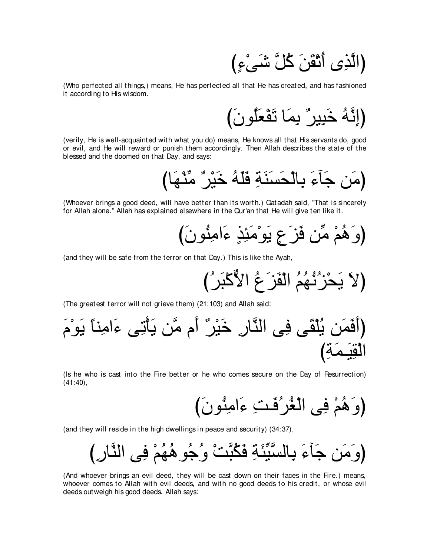(الَّذِي أَنْقَنَ كُلَّ شَيْءٍ)

(Who perfected all things,) means, He has perfected all that He has created, and has fashioned it according to His wisdom.

(verily, He is well-acquainted with what you do) means, He knows all that His servants do, good or evil, and He will reward or punish them accordingly. Then Allah describes the state of the blessed and the doomed on that Day, and says:

(Whoever brings a good deed, will have better than its worth.) Qatadah said, "That is sincerely for Allah alone." Allah has explained elsewhere in the Qur'an that He will give ten like it.

(and they will be safe from the terror on that Day.) This is like the Ayah,

(The greatest terror will not grieve them) (21:103) and Allah said:

(Is he who is cast into the Fire better or he who comes secure on the Day of Resurrection)  $(41:40),$ 

(and they will reside in the high dwellings in peace and security) (34:37).

(And whoever brings an evil deed, they will be cast down on their faces in the Fire.) means, whoever comes to Allah with evil deeds, and with no good deeds to his credit, or whose evil deeds out weigh his good deeds. Allah says: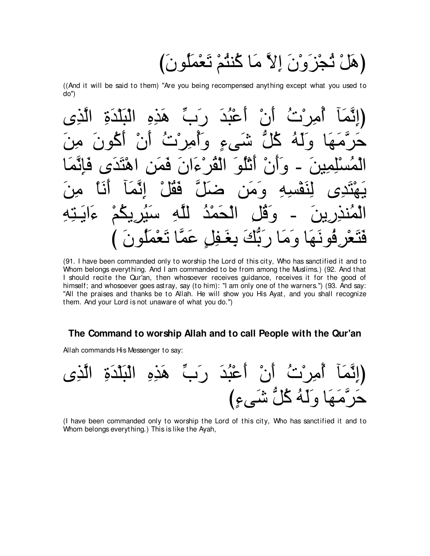(هَلْ ثُجْزَوْنَ إِلاَّ مَا كُنْثُمْ تَعْمَلُونَ)

((And it will be said to them) "Are you being recompensed anything except what you used to do")

اًعْبُدَ رَبَّ  $\left| \cdot \right|$ البلدة هده  $\bullet$  $\hat{\zeta}$ ۵۹ Ĉ ا هد 99 ∕้⊾ ع ا  $\bullet$ َبَّكَ بِغَفِلِ عَمَّا ه هـ

(91. I have been commanded only to worship the Lord of this city, Who has sanctified it and to Whom belongs everything. And I am commanded to be from among the Muslims.) (92. And that I should recite the Qur'an, then whosoever receives guidance, receives it for the good of himself; and whosoever goes astray, say (to him): "I am only one of the warners.") (93. And say: "All the praises and thanks be to Allah. He will show you His Ayat, and you shall recognize them. And your Lord is not unaware of what you do.")

#### The Command to worship Allah and to call People with the Qur'an

Allah commands His Messenger to say:

(I have been commanded only to worship the Lord of this city, Who has sanctified it and to Whom belongs everything.) This is like the Ayah,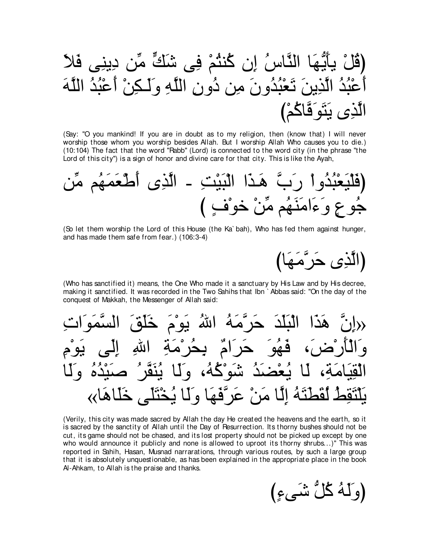(Say: "O you mankind! If you are in doubt as to my religion, then (know that) I will never worship those whom you worship besides Allah. But I worship Allah Who causes you to die.) (10:104) The fact that the word "Rabb" (Lord) is connected to the word city (in the phrase "the Lord of this city") is a sign of honor and divine care for that city. This is like the Ayah,

(So let them worship the Lord of this House (the Ka`bah), Who has fed them against hunger, and has made them safe from fear.) (106:3-4)

(الَّذِي حَرَّمَهَا)

(Who has sanctified it) means, the One Who made it a sanctuary by His Law and by His decree. making it sanctified. It was recorded in the Two Sahihs that Ibn Abbas said: "On the day of the conquest of Makkah, the Messenger of Allah said:

(Verily, this city was made sacred by Allah the day He created the heavens and the earth, so it is sacred by the sanctity of Allah until the Day of Pesurrection. Its thorny bushes should not be cut, its game should not be chased, and its lost property should not be picked up except by one who would announce it publicly and none is allowed to uproot its thorny shrubs...)" This was reported in Sahih, Hasan, Musnad narrarations, through various routes, by such a large group that it is absolutely unquestionable, as has been explained in the appropriate place in the book Al-Ahkam, to Allah is the praise and thanks.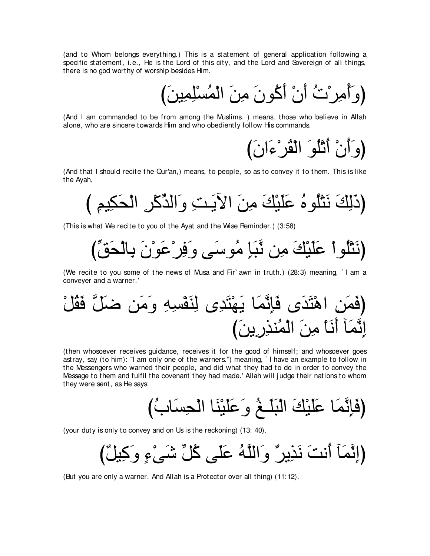(and to Whom belongs everything.) This is a statement of general application following a specific statement, i.e., He is the Lord of this city, and the Lord and Sovereign of all things, there is no god worthy of worship besides Him.

(وَأَمِرِيْتُ أَنْ أَكْونَ مِنَ الْمُسْلِمِينَ)

(And I am commanded to be from among the Muslims. ) means, those who believe in Allah alone, who are sincere towards Him and who obediently follow His commands.

وَأَنْ أَثْلُوَ الْقُرْءَانَ**)** 

(And that I should recite the Qur'an,) means, to people, so as to convey it to them. This is like the Ayah,

び ⌒ユΒ⌒ム∠エ∇ャや ⌒ゲ∇ミあグャや∠ヱ ⌒ろ⇒∠ΑΓや ∠リ⌒ョ ∠マ∇Β∠ヤ∠ハ ⊥ロヲ⊥ヤ∇わ∠ル ∠マ⌒ャ∠クぴ

(This is what We recite to you of the Ayat and the Wise Reminder.) (3:58)

びあペ∠エ∇ャゅ⌒よ ∠ラ∇ヲ∠ハ∇ゲ⌒プ∠ヱ ヴ∠シヲ⊥ョ ⌒み∠らzル リ⌒ョ ∠マ∇Β∠ヤ∠ハ ∇やヲ⊥ヤ∇わ∠ルぴ

(We recite to you some of the news of Musa and Fir` awn in truth.) (28:3) meaning, ` I am a conveyer and a warner.'

∇モ⊥ボ∠プ zモ∠ッ リ∠ョ∠ヱ ⌒ヮ⌒ジ∇ヘ∠レ⌒ャ ン⌒ギ∠わ∇ヰ∠Α ゅ∠ヨzル⌒み∠プ ン∠ギ∠わ∇ワや ⌒リ∠ヨ∠プぴ び∠リΑ⌒ケ⌒グレ⊥ヨ∇ャや ∠リ⌒ョ ∇ゅ∠ル∠ぺ べ∠ヨzル⌒ま

(then whosoever receives guidance, receives it for the good of himself; and whosoever goes astray, say (to him): "I am only one of the warners.'') meaning, ` I have an example to follow in the Messengers who warned their people, and did what they had to do in order to convey the Message to them and fulfil the covenant they had made.' Allah will j udge their nations to whom they were sent, as He says:

び⊥ゆゅ∠ジ⌒エ∇ャや ゅ∠レ∇Β∠ヤ∠ハ∠ヱ ⊥ヒ⇒∠ヤ∠ら∇ャや ∠マ∇Β∠ヤ∠ハ ゅ∠ヨzル⌒み∠プぴ

(your duty is only to convey and on Us is the reckoning) (13: 40).

(إِنَّمَآ أَنتَ نَذِيرٌ وَاللَّهُ عَلَى كُلِّ شَيْءٍ وَكِيلٌ)

(But you are only a warner. And Allah is a Protector over all thing) (11:12).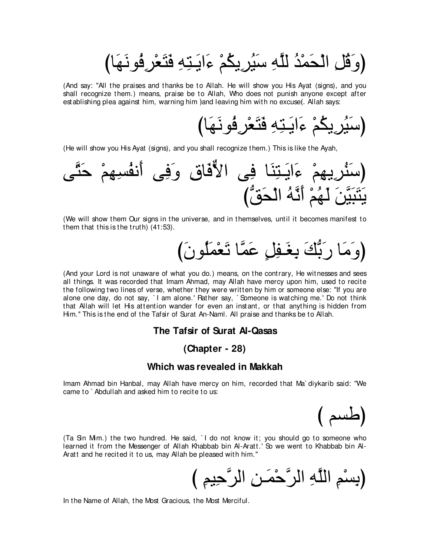(وَقُلِ الْحَمْدُ للَّهِ سَيُرِيكُمْ ءَايَتِهِ فَتَعْرِفُونَهَا)

(And say: "All the praises and thanks be to Allah. He will show you His Ayat (signs), and you shall recognize them.) means, praise be to Allah, Who does not punish anyone except after establishing plea against him, warning him )and leaving him with no excuse(. Allah says:

びゅ∠ヰ∠ルヲ⊥プ⌒ゲ∇バ∠わ∠プ ⌒ヮ⌒わ⇒∠Αや∠¬ ∇ユ⊥ムΑ⌒ゲ⊥Β∠シぴ

(He will show you His Ayat (signs), and you shall recognize them.) This is like the Ayah,

ヴzわ∠ェ ∇ユ⌒ヰ⌒ジ⊥ヘル∠ぺ ヴ⌒プ∠ヱ ⌒ベゅ∠プxΙや ヴ⌒プ ゅ∠レ⌒わ⇒∠Αや∠¬ ∇ユ⌒ヰΑ⌒ゲ⊥レ∠シぴ びぁペ∠エ∇ャや ⊥ヮzル∠ぺ ∇ユ⊥ヰ∠ャ ∠リzΒ∠ら∠わ∠Α

(We will show them Our signs in the universe, and in themselves, until it becomes manifest to them that this is the truth) (41:53).

び∠ラヲ⊥ヤ∠ヨ∇バ∠ゎ ゅzヨ∠ハ ∃モ⌒ヘ⇒∠ピ⌒よ ∠マぁよ∠ケ ゅ∠ョ∠ヱぴ

(And your Lord is not unaware of what you do.) means, on the contrary, He witnesses and sees all things. It was recorded that Imam Ahmad, may Allah have mercy upon him, used to recite the following two lines of verse, whether they were written by him or someone else: "If you are alone one day, do not say, `I am alone.' Rather say, `Someone is watching me.' Do not think that Allah will let His attention wander for even an instant, or that anything is hidden from Him.'' This is the end of the Tafsir of Surat An-Naml. All praise and thanks be to Allah.

#### **The Tafsir of Surat Al-Qasas**

#### **(Chapter - 28)**

#### **Which was revealed in Makkah**

Imam Ahmad bin Hanbal, may Allah have mercy on him, recorded that Ma` diykarib said: "We came to ` Abdullah and asked him to recite to us:

(طسم )

(Ta Sin Mim.) the two hundred. He said, ` I do not know it; you should go to someone who learned it from the Messenger of Allah Khabbab bin Al-Aratt.' So we went to Khabbab bin Al-Aratt and he recited it to us, may Allah be pleased with him.''

(بِسْمِ اللَّهِ الرَّحْمَنِ الرَّحِيمِ)

In the Name of Allah, the Most Gracious, the Most Merciful.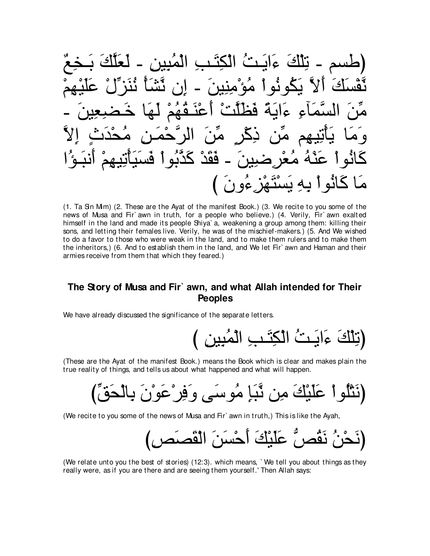(طسم - تِلَكَ عَابَتُ ألَكِتَبُ الَكَنِبِ المُيِين – لَعَلَكَ بَحَعُ مُوَّهُ وَلَ وَنُوَهُ وَهَ وَهَ وَمَنِيَنَ - إِنَ تَّتَنَّا تُنَرَّلُٰ عَلَيُهُمُ
$$
ṁنَنَّا تُنَنَّا تُنَنَّهُ مُلَّا خَصَعِينَ – وَمَا يَتَنِقَهُمُ لَهَا خَصَعِينَ – وَمَا يَتَنِتِهِمَ مَّنِ وَمَا يَتَنِنَهِمَ مُتُرِ صَينَ – قَقَدٌ كَدَّبُواٍ فَسَيَأَتِيَهِمُ أَنَبَوُّا مَا مُلَّوَّا تُنَهُهُوُونَ)
$$

(1. Ta Sin Mim) (2. These are the Ayat of the manifest Book.) (3. We recite to you some of the news of Musa and Fir`awn in truth, for a people who believe.) (4. Verily, Fir`awn exalted himself in the land and made its people Shiya`a, weakening a group among them: killing their sons, and letting their females live. Verily, he was of the mischief-makers.) (5. And We wished to do a favor to those who were weak in the land, and to make them rulers and to make them the inheritors,) (6. And to establish them in the land, and We let Fir' awn and Haman and their armies receive from them that which they feared.)

#### The Story of Musa and Fir` awn, and what Allah intended for Their **Peoples**

We have already discussed the significance of the separate letters.

(These are the Ayat of the manifest Book.) means the Book which is clear and makes plain the true reality of things, and tells us about what happened and what will happen.

(We recite to you some of the news of Musa and Fir`awn in truth,) This is like the Ayah,

(We relate unto you the best of stories) (12:3). which means, `We tell you about things as they really were, as if you are there and are seeing them yourself.' Then Allah says: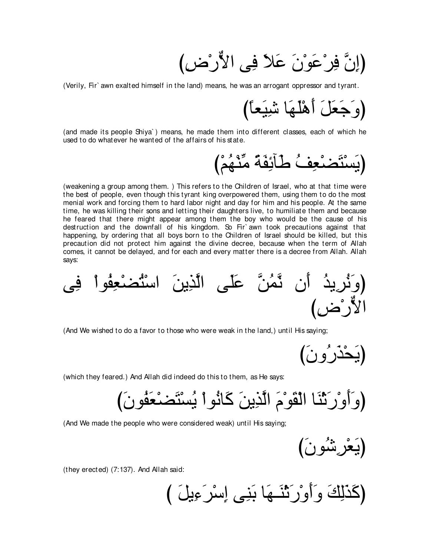(إِنَّ فِرْعَوْنَ عَلاً فِي الأَرْض)

(Verily, Fir` awn exalted himself in the land) means, he was an arrogant oppressor and tyrant.

び⇔ゅバ∠Β⌒セ ゅ∠ヰ∠ヤ∇ワ∠ぺ ∠モ∠バ∠ィ∠ヱぴ

(and made its people Shiya` ) means, he made them into different classes, each of which he used to do whatever he wanted of the affairs of his state.

び∇ユ⊥ヰ∇レあョ ⇔る∠ヘ⌒もべ∠デ ⊥ブ⌒バ∇ツ∠わ∇ジ∠Αぴ

(weakening a group among them. ) This refers to the Children of Israel, who at that time were the best of people, even though this tyrant king overpowered them, using them to do the most menial work and forcing them to hard labor night and day for him and his people. At the same time, he was killing their sons and letting their daughters live, to humiliate them and because he feared that there might appear among them the boy who would be the cause of his destruction and the downfall of his kingdom. So Fir` awn took precautions against that happening, by ordering that all boys born to the Children of Israel should be killed, but this precaution did not protect him against the divine decree, because when the term of Allah comes, it cannot be delayed, and for each and every matter there is a decree from Allah. Allah says:

ヴ⌒プ ∇やヲ⊥ヘ⌒バ∇ツ⊥わ∇シや ∠リΑ⌒グzャや ヴ∠ヤ∠ハ zリ⊥ヨzル ラ∠ぺ ⊥ギΑ⌒ゲ⊥ル∠ヱぴ び⌒チ∇ケxΙや

(And We wished to do a favor to those who were weak in the land,) until His saying;

(يَحْذَرُونَ)

(which they feared.) And Allah did indeed do this to them, as He says:

び∠ラヲ⊥ヘ∠バ∇ツ∠わ∇ジ⊥Α ∇やヲ⊥ルゅ∠ミ ∠リΑ⌒グzャや ∠ュ∇ヲ∠ボ∇ャや ゅ∠レ∇を∠ケ∇ヱ∠ぺ∠ヱぴ

(And We made the people who were considered weak) until His saying;

び∠ラヲ⊥セ⌒ゲ∇バ∠Αぴ

(they erected) (7:137). And Allah said:

び ∠モΑ⌒¬∠ゲ∇シ⌒ま ヴ⌒レ∠よ ゅ∠ヰ⇒∠レ∇を∠ケ∇ヱ∠ぺ∠ヱ ∠マ⌒ャ∠グ∠ミぴ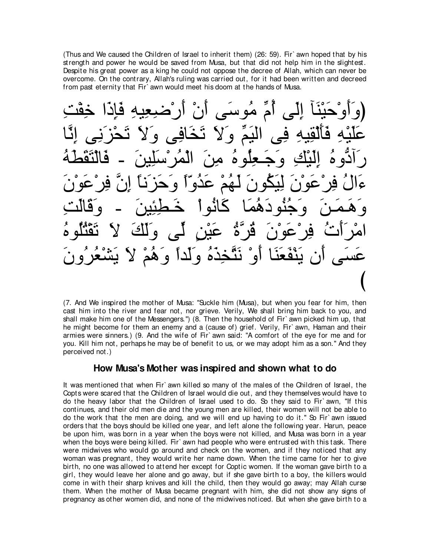(Thus and We caused the Children of Israel to inherit them) (26: 59). Fir` awn hoped that by his strength and power he would be saved from Musa, but that did not help him in the slightest. Despite his great power as a king he could not oppose the decree of Allah, which can never be overcome. On the contrary, Allah's ruling was carried out, for it had been written and decreed from past eternity that Fir` awn would meet his doom at the hands of Musa.

(وَأَوْحَيْنَا إِلَى أَمِّ مُوسَى أَنْ أَرْضَعِيهِ فَإِذَا خِقْتِ عَلَيْهِ فَٱلْقِيهِ فِي الْيَمِّ وَلاَ تَخَافِي وَلاَ تَحْزَنِي إِنَّا رَادَّوهُ اِلْبْكِ وَجَـعِلُوهُ مِنَ الْمُرْسَلِينَ − فَالْتَقَطَّهُ ءَالُ فِرْعَوْنَ لِيَكُونَ لَـهُمْ عَدُوّاً وَحَزَنَا إِنَّ فِرْعَوْنَ وَهَمَنَ وَجُنُودَهُمَا كَاثُواْ خَطْئِينَ ـ وَقَالَتِ امْرَأَتْ فِرْعَوْنَ ڤُرَّةٌ عَيْنِ لَمَى وَلَكَ لاَ تَقْنُلُوهُ عَسَى أن يَنْفَعَنَا أَوْ نَتَّخِذَهُ وَلَداً وَهُمْ لاَ يَشْعُرُونَ び

(7. And We inspired the mother of Musa: "Suckle him (Musa), but when you fear for him, then cast him into the river and fear not, nor grieve. Verily, We shall bring him back to you, and shall make him one of the Messengers.'') (8. Then the household of Fir` awn picked him up, that he might become for them an enemy and a (cause of) grief. Verily, Fir awn, Haman and their armies were sinners.) (9. And the wife of Fir` awn said: "A comfort of the eye for me and for you. Kill him not, perhaps he may be of benefit to us, or we may adopt him as a son.'' And they perceived not.)

#### **How Musa's Mother was inspired and shown what to do**

It was mentioned that when Fir` awn killed so many of the males of the Children of Israel, the Copts were scared that the Children of Israel would die out, and they themselves would have to do the heavy labor that the Children of Israel used to do. So they said to Fir` awn, "If this continues, and their old men die and the young men are killed, their women will not be able to do the work that the men are doing, and we will end up having to do it.'' So Fir` awn issued orders that the boys should be killed one year, and left alone the following year. Harun, peace be upon him, was born in a year when the boys were not killed, and Musa was born in a year when the boys were being killed. Fir` awn had people who were entrusted with this task. There were midwives who would go around and check on the women, and if they noticed that any woman was pregnant, they would write her name down. When the time came for her to give birth, no one was allowed to attend her except for Coptic women. If the woman gave birth to a girl, they would leave her alone and go away, but if she gave birth to a boy, the killers would come in with their sharp knives and kill the child, then they would go away; may Allah curse them. When the mother of Musa became pregnant with him, she did not show any signs of pregnancy as other women did, and none of the midwives noticed. But when she gave birth to a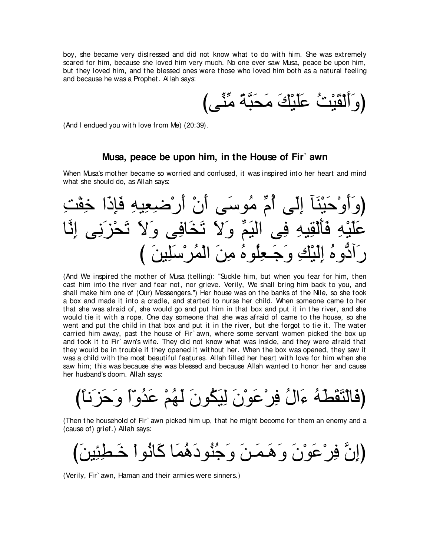boy, she became very distressed and did not know what to do with him. She was extremely scared for him, because she loved him very much. No one ever saw Musa, peace be upon him, but they loved him, and the blessed ones were those who loved him both as a natural feeling and because he was a Prophet. Allah says:

びヴあレあョ ⇔るzら∠エ∠ョ ∠マ∇Β∠ヤ∠ハ ⊥ろ∇Β∠ボ∇ャ∠ぺ∠ヱぴ

(And I endued you with love from Me) (20:39).

#### **Musa, peace be upon him, in the House of Fir` awn**

When Musa's mother became so worried and confused, it was inspired into her heart and mind what she should do, as Allah says:

⌒ろ∇ヘ⌒カ や∠ク⌒み∠プ ⌒ヮΒ⌒バ⌒ッ∇ケ∠ぺ ∇ラ∠ぺ ヴ∠シヲ⊥ョ あュ⊥ぺ ヴ∠ャ⌒ま べ∠レ∇Β∠ェ∇ヱ∠ぺ∠ヱぴ ゅzル⌒ま ヴ⌒ル∠ゴ∇エ∠ゎ ∠Ι∠ヱ ヴ⌒プゅ∠ガ∠ゎ ∠Ι∠ヱ あユ∠Βャや ヴ⌒プ ⌒ヮΒ⌒ボ∇ャ∠ほ∠プ ⌒ヮ∇Β∠ヤ∠ハ び ∠リΒ⌒ヤ∠シ∇ゲ⊥ヨ∇ャや ∠リ⌒ョ ⊥ロヲ⊥ヤ⌒バ⇒∠ィ∠ヱ ⌒マ∇Β∠ャ⌒ま ⊥ロヱぁキへ∠ケ

(And We inspired the mother of Musa (telling): "Suckle him, but when you fear for him, then cast him into the river and fear not, nor grieve. Verily, We shall bring him back to you, and shall make him one of (Our) Messengers.'') Her house was on the banks of the Nile, so she took a box and made it into a cradle, and started to nurse her child. When someone came to her that she was afraid of, she would go and put him in that box and put it in the river, and she would tie it with a rope. One day someone that she was afraid of came to the house, so she went and put the child in that box and put it in the river, but she forgot to tie it. The water carried him away, past the house of Fir` awn, where some servant women picked the box up and took it to Fir` awn's wife. They did not know what was inside, and they were afraid that they would be in trouble if they opened it without her. When the box was opened, they saw it was a child with the most beautiful features. Allah filled her heart with love for him when she saw him; this was because she was blessed and because Allah wanted to honor her and cause her husband's doom. Allah says:

び⇔ゅル∠ゴ∠ェ∠ヱ ⇔や∂ヱ⊥ギ∠ハ ∇ユ⊥ヰ∠ャ ∠ラヲ⊥ム∠Β⌒ャ ∠ラ∇ヲ∠ハ∇ゲ⌒プ ⊥メや∠¬ ⊥ヮ∠ト∠ボ∠わ∇ャゅ∠プぴ

(Then the household of Fir` awn picked him up, that he might become for them an enemy and a (cause of) grief.) Allah says:

び∠リΒ⌒ゃ⌒ト⇒∠カ ∇やヲ⊥ルゅ∠ミ ゅ∠ヨ⊥ワ∠キヲ⊥レ⊥ィ∠ヱ ∠リ⇒∠ヨ⇒∠ワ∠ヱ ∠ラ∇ヲ∠ハ∇ゲ⌒プ zラ⌒まぴ

(Verily, Fir` awn, Haman and their armies were sinners.)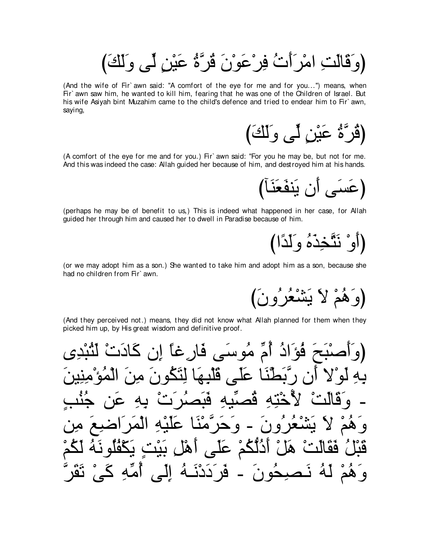(وَقَالَتِ امْرَأَتْ فِرْعَوْنَ قُرَّةُ عَيْنٍ لِّمِي وَلَكَ)

(And the wife of Fir` awn said: "A comfort of the eye for me and for you...") means, when Fir' awn saw him, he wanted to kill him, fearing that he was one of the Children of Israel. But his wife Asiyah bint Muzahim came to the child's defence and tried to endear him to Fir`awn, saying,

(قُرَّةُ عَيْنِ لَّمِي وَلَكَ)

(A comfort of the eye for me and for you.) Fir' awn said: "For you he may be, but not for me. And this was indeed the case: Allah guided her because of him, and destroyed him at his hands.

(perhaps he may be of benefit to us.) This is indeed what happened in her case, for Allah guided her through him and caused her to dwell in Paradise because of him.

(أَوْ نَتَّخِذَهُ وَلَدًا)

(or we may adopt him as a son.) She wanted to take him and adopt him as a son, because she had no children from Fir' awn.

(وَهُمْ لَا يَشْعُرُونَ)

(And they perceived not.) means, they did not know what Allah planned for them when they picked him up, by His great wisdom and definitive proof.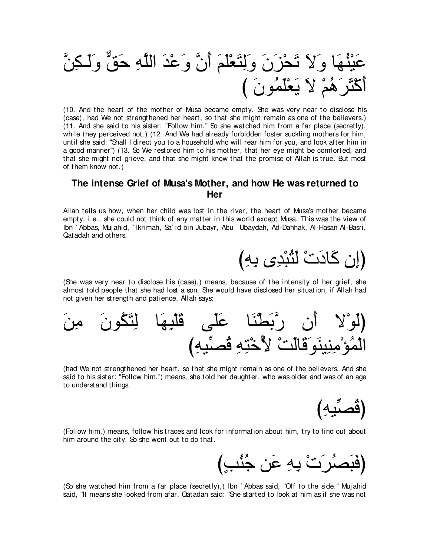zリ⌒ム⇒∠ャ∠ヱ xペ∠ェ ⌒ヮzヤャや ∠ギ∇ハ∠ヱ zラ∠ぺ ∠ユ∠ヤ∇バ∠わ⌒ャ∠ヱ ∠ラ∠ゴ∇エ∠ゎ ∠Ι∠ヱ ゅ∠ヰ⊥レ∇Β∠ハ び ∠ラヲ⊥ヨ∠ヤ∇バ∠Α ∠Ι ∇ユ⊥ワ∠ゲ∠ん∇ミ∠ぺ

(10. And the heart of the mother of Musa became empty. She was very near to disclose his (case), had We not strengthened her heart, so that she might remain as one of the believers.) (11. And she said to his sister: "Follow him.'' So she watched him from a far place (secretly), while they perceived not.) (12. And We had already forbidden foster suckling mothers for him, until she said: "Shall I direct you to a household who will rear him for you, and look after him in a good manner'') (13. So We restored him to his mother, that her eye might be comforted, and that she might not grieve, and that she might know that the promise of Allah is true. But most of them know not.)

#### **The intense Grief of Musa's Mother, and how He was returned to Her**

Allah tells us how, when her child was lost in the river, the heart of Musa's mother became empty, i.e., she could not think of any matter in this world except Musa. This was the view of Ibn ` Abbas, Muj ahid, ` Ikrimah, Sa` id bin Jubayr, Abu ` Ubaydah, Ad-Dahhak, Al-Hasan Al-Basri, Qatadah and others.

(اِن كَادَتْ لَثَبْدِي بِهِ)

(She was very near to disclose his (case),) means, because of the intensity of her grief, she almost told people that she had lost a son. She would have disclosed her situation, if Allah had not given her strength and patience. Allah says:



(had We not strengthened her heart, so that she might remain as one of the believers. And she said to his sister: "Follow him.'') means, she told her daughter, who was older and was of an age to understand things,



(Follow him.) means, follow his traces and look for information about him, try to find out about him around the city. So she went out to do that.

び∃ょ⊥レ⊥ィ リ∠ハ ⌒ヮ⌒よ ∇れ∠ゲ⊥ダ∠ら∠プぴ

(So she watched him from a far place (secretly),) Ibn ` Abbas said, "Off to the side.'' Muj ahid said, "It means she looked from afar. Qatadah said: "She started to look at him as if she was not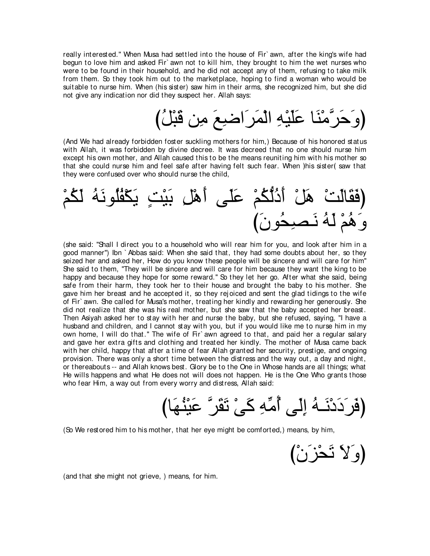really interested.'' When Musa had settled into the house of Fir` awn, after the king's wife had begun to love him and asked Fir` awn not to kill him, they brought to him the wet nurses who were to be found in their household, and he did not accept any of them, refusing to take milk from them. So they took him out to the marketplace, hoping to find a woman who would be suitable to nurse him. When (his sister) saw him in their arms, she recognized him, but she did not give any indication nor did they suspect her. Allah says:

び⊥モ∇ら∠ホ リ⌒ョ ∠ノ⌒ッや∠ゲ∠ヨ∇ャや ⌒ヮ∇Β∠ヤ∠ハ ゅ∠レ∇ョzゲ∠ェ∠ヱぴ

(And We had already forbidden foster suckling mothers for him,) Because of his honored status with Allah, it was forbidden by divine decree. It was decreed that no one should nurse him except his own mother, and Allah caused this to be the means reuniting him with his mother so that she could nurse him and feel safe after having felt such fear. When ) his sister(saw that they were confused over who should nurse the child,

∇ユ⊥ム∠ャ ⊥ヮ∠ルヲ⊥ヤ⊥ヘ∇ム∠Α ∃ろ∇Β∠よ ⌒モ∇ワ∠ぺ ヴ∠ヤ∠ハ ∇ユ⊥ムぁャ⊥キ∠ぺ ∇モ∠ワ ∇ろ∠ャゅ∠ボ∠プぴ び∠ラヲ⊥エ⌒ダ⇒∠ル ⊥ヮ∠ャ ∇ユ⊥ワ∠ヱ

(she said: "Shall I direct you to a household who will rear him for you, and look after him in a good manner'') Ibn ` Abbas said: When she said that, they had some doubts about her, so they seized her and asked her, How do you know these people will be sincere and will care for him'' She said to them, "They will be sincere and will care for him because they want the king to be happy and because they hope for some reward." So they let her go. After what she said, being safe from their harm, they took her to their house and brought the baby to his mother. She gave him her breast and he accepted it, so they rej oiced and sent the glad tidings to the wife of Fir` awn. She called for Musa's mother, treating her kindly and rewarding her generously. She did not realize that she was his real mother, but she saw that the baby accepted her breast. Then Asiyah asked her to stay with her and nurse the baby, but she refused, saying, "I have a husband and children, and I cannot stay with you, but if you would like me to nurse him in my own home, I will do that." The wife of Fir' awn agreed to that, and paid her a regular salary and gave her extra gifts and clothing and treated her kindly. The mother of Musa came back with her child, happy that after a time of fear Allah granted her security, prestige, and ongoing provision. There was only a short time between the distress and the way out, a day and night, or thereabouts -- and Allah knows best. Glory be to the One in Whose hands are all things; what He wills happens and what He does not will does not happen. He is the One Who grants those who fear Him, a way out from every worry and distress, Allah said:

びゅ∠ヰ⊥レ∇Β∠ハ zゲ∠ボ∠ゎ ∇ヴ∠ミ ⌒ヮあョ⊥ぺ ヴ∠ャ⌒ま ⊥ヮ⇒∠ル∇キ∠キ∠ゲ∠プぴ

(So We restored him to his mother, that her eye might be comforted,) means, by him,

(وَلاَ تَحْزَنْ)

(and that she might not grieve, ) means, for him.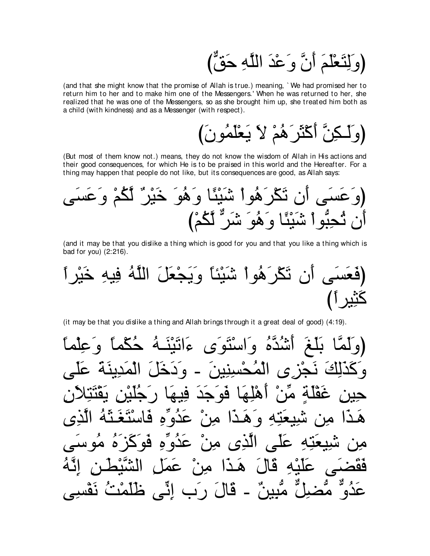(وَلِنَعْلَمَ أَنَّ وَعْدَ اللَّهِ حَقٌّ)

(and that she might know that the promise of Allah is true.) meaning, `We had promised her to return him to her and to make him one of the Messengers.' When he was returned to her, she realized that he was one of the Messengers, so as she brought him up, she treated him both as a child (with kindness) and as a Messenger (with respect).

(But most of them know not.) means, they do not know the wisdom of Allah in His actions and their good consequences, for which He is to be praised in this world and the Hereafter. For a thing may happen that people do not like, but its consequences are good, as Allah says:

(and it may be that you dislike a thing which is good for you and that you like a thing which is bad for you) (2:216).

(it may be that you dislike a thing and Allah brings through it a great deal of good) (4:19).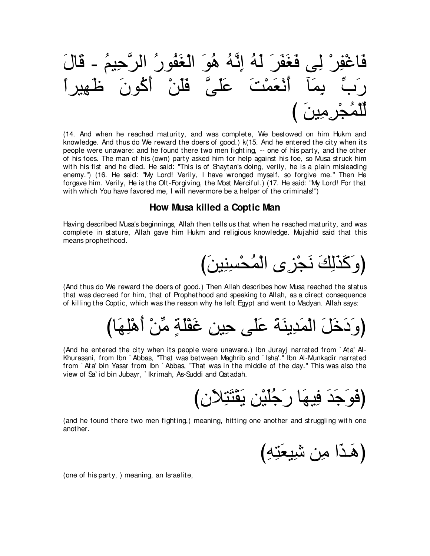

(14. And when he reached maturity, and was complete, We bestowed on him Hukm and knowledge. And thus do We reward the doers of good.) k(15. And he entered the city when its people were unaware: and he found there two men fighting, -- one of his party, and the other of his foes. The man of his (own) party asked him for help against his foe, so Musa struck him with his fist and he died. He said: "This is of Shaytan's doing, verily, he is a plain misleading enemy.") (16. He said: "My Lord! Verily, I have wronged myself, so forgive me." Then He forgave him. Verily, He is the Oft-Forgiving, the Most Merciful.) (17. He said: "My Lord! For that with which You have favored me, I will nevermore be a helper of the criminals!")

#### How Musa killed a Coptic Man

Having described Musa's beginnings, Allah then tells us that when he reached maturity, and was complete in stature, Allah gave him Hukm and religious knowledge. Mujahid said that this means prophet hood.

(And thus do We reward the doers of good.) Then Allah describes how Musa reached the status that was decreed for him, that of Prophethood and speaking to Allah, as a direct consequence of killing the Coptic, which was the reason why he left Egypt and went to Madyan. Allah says:

(And he entered the city when its people were unaware.) Ibn Jurayi narrated from `Ata' Al-Khurasani, from Ibn `Abbas, "That was between Maghrib and `Isha'." Ibn Al-Munkadir narrated from `Ata' bin Yasar from Ibn `Abbas, "That was in the middle of the day." This was also the view of Sa' id bin Jubayr, 'Ikrimah, As-Suddi and Qatadah.

(and he found there two men fighting.) meaning, hitting one another and struggling with one anot her.

(هَذَا مِن شَيِعَتِهِ)

(one of his party, ) meaning, an Israelite,